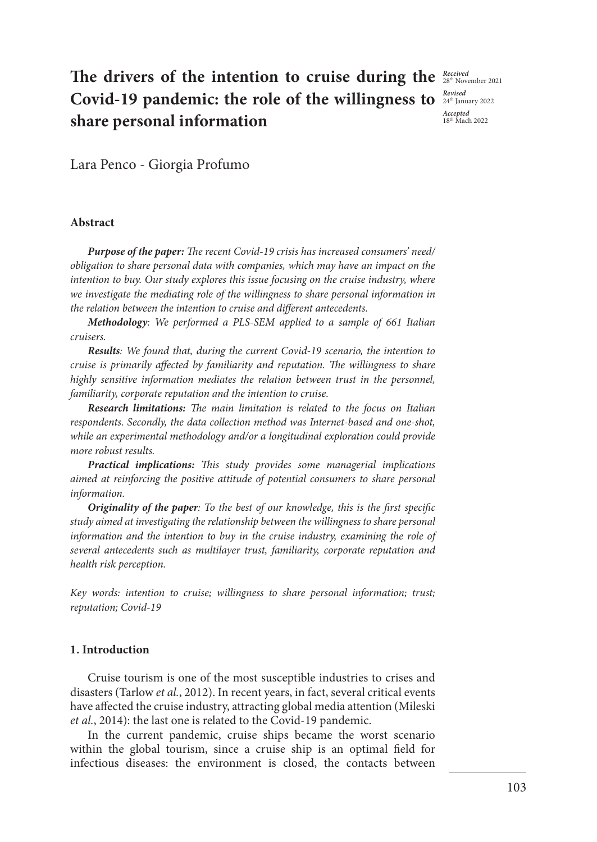*Accepted*  18th Mach 2022

# The drivers of the intention to cruise during the **Received** Covid-19 pandemic: the role of the willingness to  $\frac{Revised}{24^{\text{th}}$ January 2022 **share personal information**

Lara Penco - Giorgia Profumo

## **Abstract**

*Purpose of the paper: The recent Covid-19 crisis has increased consumers' need/ obligation to share personal data with companies, which may have an impact on the intention to buy. Our study explores this issue focusing on the cruise industry, where we investigate the mediating role of the willingness to share personal information in the relation between the intention to cruise and different antecedents.*

*Methodology: We performed a PLS-SEM applied to a sample of 661 Italian cruisers.*

*Results: We found that, during the current Covid-19 scenario, the intention to cruise is primarily affected by familiarity and reputation. The willingness to share highly sensitive information mediates the relation between trust in the personnel, familiarity, corporate reputation and the intention to cruise.*

*Research limitations: The main limitation is related to the focus on Italian respondents. Secondly, the data collection method was Internet-based and one-shot, while an experimental methodology and/or a longitudinal exploration could provide more robust results.*

*Practical implications: This study provides some managerial implications aimed at reinforcing the positive attitude of potential consumers to share personal information.*

*Originality of the paper: To the best of our knowledge, this is the first specific study aimed at investigating the relationship between the willingness to share personal*  information and the intention to buy in the cruise industry, examining the role of *several antecedents such as multilayer trust, familiarity, corporate reputation and health risk perception.*

*Key words: intention to cruise; willingness to share personal information; trust; reputation; Covid-19*

## **1. Introduction**

Cruise tourism is one of the most susceptible industries to crises and disasters (Tarlow *et al.*, 2012). In recent years, in fact, several critical events have affected the cruise industry, attracting global media attention (Mileski *et al.*, 2014): the last one is related to the Covid-19 pandemic.

In the current pandemic, cruise ships became the worst scenario within the global tourism, since a cruise ship is an optimal field for infectious diseases: the environment is closed, the contacts between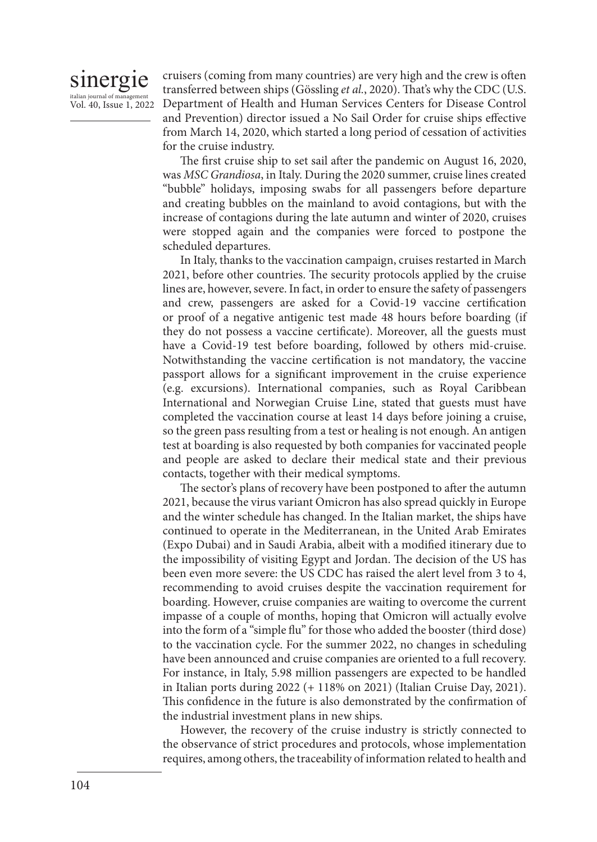# sinergie italian journal of manag

Vol. 40, Issue 1, 2022

cruisers (coming from many countries) are very high and the crew is often transferred between ships (Gössling *et al.*, 2020). That's why the CDC (U.S. Department of Health and Human Services Centers for Disease Control and Prevention) director issued a No Sail Order for cruise ships effective from March 14, 2020, which started a long period of cessation of activities for the cruise industry.

The first cruise ship to set sail after the pandemic on August 16, 2020, was *MSC Grandiosa*, in Italy. During the 2020 summer, cruise lines created "bubble" holidays, imposing swabs for all passengers before departure and creating bubbles on the mainland to avoid contagions, but with the increase of contagions during the late autumn and winter of 2020, cruises were stopped again and the companies were forced to postpone the scheduled departures.

In Italy, thanks to the vaccination campaign, cruises restarted in March 2021, before other countries. The security protocols applied by the cruise lines are, however, severe. In fact, in order to ensure the safety of passengers and crew, passengers are asked for a Covid-19 vaccine certification or proof of a negative antigenic test made 48 hours before boarding (if they do not possess a vaccine certificate). Moreover, all the guests must have a Covid-19 test before boarding, followed by others mid-cruise. Notwithstanding the vaccine certification is not mandatory, the vaccine passport allows for a significant improvement in the cruise experience (e.g. excursions). International companies, such as Royal Caribbean International and Norwegian Cruise Line, stated that guests must have completed the vaccination course at least 14 days before joining a cruise, so the green pass resulting from a test or healing is not enough. An antigen test at boarding is also requested by both companies for vaccinated people and people are asked to declare their medical state and their previous contacts, together with their medical symptoms.

The sector's plans of recovery have been postponed to after the autumn 2021, because the virus variant Omicron has also spread quickly in Europe and the winter schedule has changed. In the Italian market, the ships have continued to operate in the Mediterranean, in the United Arab Emirates (Expo Dubai) and in Saudi Arabia, albeit with a modified itinerary due to the impossibility of visiting Egypt and Jordan. The decision of the US has been even more severe: the US CDC has raised the alert level from 3 to 4, recommending to avoid cruises despite the vaccination requirement for boarding. However, cruise companies are waiting to overcome the current impasse of a couple of months, hoping that Omicron will actually evolve into the form of a "simple flu" for those who added the booster (third dose) to the vaccination cycle. For the summer 2022, no changes in scheduling have been announced and cruise companies are oriented to a full recovery. For instance, in Italy, 5.98 million passengers are expected to be handled in Italian ports during 2022 (+ 118% on 2021) (Italian Cruise Day, 2021). This confidence in the future is also demonstrated by the confirmation of the industrial investment plans in new ships.

However, the recovery of the cruise industry is strictly connected to the observance of strict procedures and protocols, whose implementation requires, among others, the traceability of information related to health and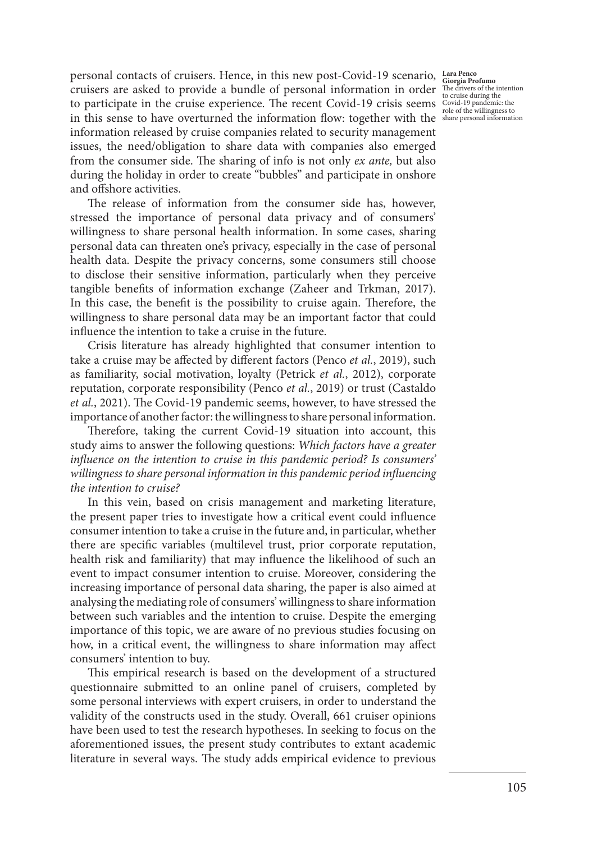personal contacts of cruisers. Hence, in this new post-Covid-19 scenario, Lara Penco Giorgia Profumo cruisers are asked to provide a bundle of personal information in order  $\frac{1}{16}$  the drivers of the intention to participate in the cruise experience. The recent Covid-19 crisis seems in this sense to have overturned the information flow: together with the information released by cruise companies related to security management issues, the need/obligation to share data with companies also emerged from the consumer side. The sharing of info is not only *ex ante,* but also during the holiday in order to create "bubbles" and participate in onshore and offshore activities.

The release of information from the consumer side has, however, stressed the importance of personal data privacy and of consumers' willingness to share personal health information. In some cases, sharing personal data can threaten one's privacy, especially in the case of personal health data. Despite the privacy concerns, some consumers still choose to disclose their sensitive information, particularly when they perceive tangible benefits of information exchange (Zaheer and Trkman, 2017). In this case, the benefit is the possibility to cruise again. Therefore, the willingness to share personal data may be an important factor that could influence the intention to take a cruise in the future.

Crisis literature has already highlighted that consumer intention to take a cruise may be affected by different factors (Penco *et al.*, 2019), such as familiarity, social motivation, loyalty (Petrick *et al.*, 2012), corporate reputation, corporate responsibility (Penco *et al.*, 2019) or trust (Castaldo *et al.*, 2021). The Covid-19 pandemic seems, however, to have stressed the importance of another factor: the willingness to share personal information.

Therefore, taking the current Covid-19 situation into account, this study aims to answer the following questions: *Which factors have a greater influence on the intention to cruise in this pandemic period? Is consumers' willingness to share personal information in this pandemic period influencing the intention to cruise?* 

In this vein, based on crisis management and marketing literature, the present paper tries to investigate how a critical event could influence consumer intention to take a cruise in the future and, in particular, whether there are specific variables (multilevel trust, prior corporate reputation, health risk and familiarity) that may influence the likelihood of such an event to impact consumer intention to cruise. Moreover, considering the increasing importance of personal data sharing, the paper is also aimed at analysing the mediating role of consumers' willingness to share information between such variables and the intention to cruise. Despite the emerging importance of this topic, we are aware of no previous studies focusing on how, in a critical event, the willingness to share information may affect consumers' intention to buy.

This empirical research is based on the development of a structured questionnaire submitted to an online panel of cruisers, completed by some personal interviews with expert cruisers, in order to understand the validity of the constructs used in the study. Overall, 661 cruiser opinions have been used to test the research hypotheses. In seeking to focus on the aforementioned issues, the present study contributes to extant academic literature in several ways. The study adds empirical evidence to previous

Covid-19 pandemic: the role of the willingness to share personal information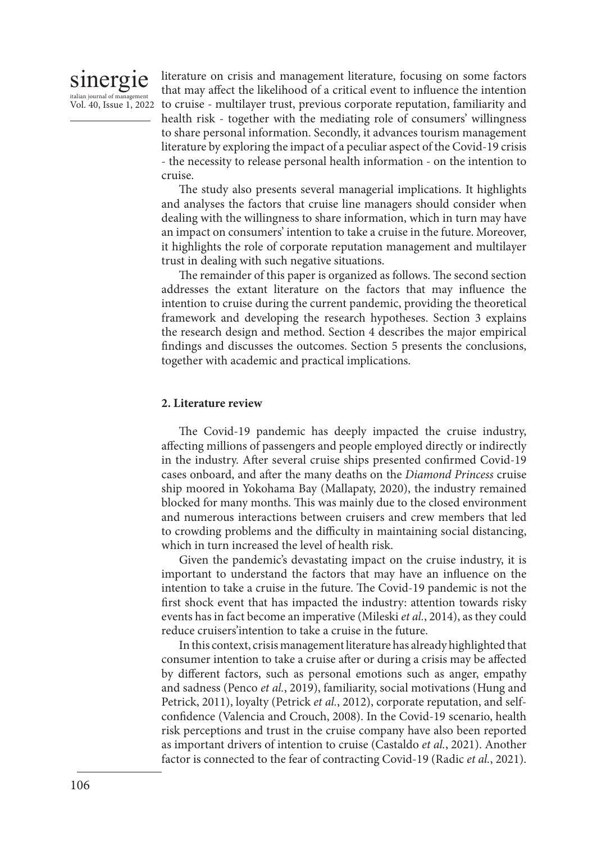

italian journal of management<br>Vol. 40, Issue 1, 2022 to cruise - multilayer trust, previous corporate reputation, familiarity and literature on crisis and management literature, focusing on some factors that may affect the likelihood of a critical event to influence the intention health risk - together with the mediating role of consumers' willingness to share personal information. Secondly, it advances tourism management literature by exploring the impact of a peculiar aspect of the Covid-19 crisis - the necessity to release personal health information - on the intention to cruise.

> The study also presents several managerial implications. It highlights and analyses the factors that cruise line managers should consider when dealing with the willingness to share information, which in turn may have an impact on consumers' intention to take a cruise in the future. Moreover, it highlights the role of corporate reputation management and multilayer trust in dealing with such negative situations.

> The remainder of this paper is organized as follows. The second section addresses the extant literature on the factors that may influence the intention to cruise during the current pandemic, providing the theoretical framework and developing the research hypotheses. Section 3 explains the research design and method. Section 4 describes the major empirical findings and discusses the outcomes. Section 5 presents the conclusions, together with academic and practical implications.

## **2. Literature review**

The Covid-19 pandemic has deeply impacted the cruise industry, affecting millions of passengers and people employed directly or indirectly in the industry. After several cruise ships presented confirmed Covid-19 cases onboard, and after the many deaths on the *Diamond Princess* cruise ship moored in Yokohama Bay (Mallapaty, 2020), the industry remained blocked for many months. This was mainly due to the closed environment and numerous interactions between cruisers and crew members that led to crowding problems and the difficulty in maintaining social distancing, which in turn increased the level of health risk.

Given the pandemic's devastating impact on the cruise industry, it is important to understand the factors that may have an influence on the intention to take a cruise in the future. The Covid-19 pandemic is not the first shock event that has impacted the industry: attention towards risky events has in fact become an imperative (Mileski *et al.*, 2014), as they could reduce cruisers'intention to take a cruise in the future.

In this context, crisis management literature has already highlighted that consumer intention to take a cruise after or during a crisis may be affected by different factors, such as personal emotions such as anger, empathy and sadness (Penco *et al.*, 2019), familiarity, social motivations (Hung and Petrick, 2011), loyalty (Petrick *et al.*, 2012), corporate reputation, and selfconfidence (Valencia and Crouch, 2008). In the Covid-19 scenario, health risk perceptions and trust in the cruise company have also been reported as important drivers of intention to cruise (Castaldo *et al.*, 2021). Another factor is connected to the fear of contracting Covid-19 (Radic *et al.*, 2021).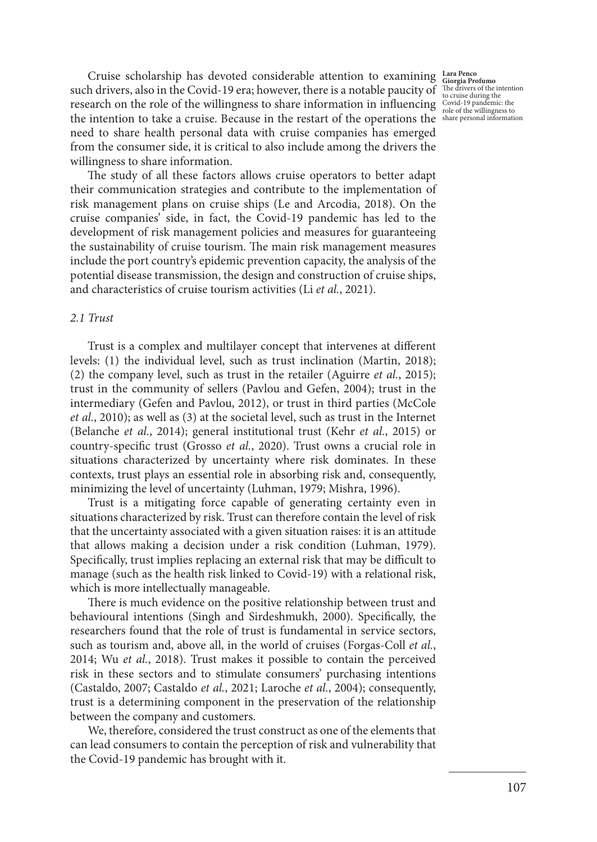**Lara Penco Giorgia Profumo**  The drivers of the intention to cruise during the Covid-19 pandemic: the role of the willingness to share personal information

Cruise scholarship has devoted considerable attention to examining such drivers, also in the Covid-19 era; however, there is a notable paucity of research on the role of the willingness to share information in influencing the intention to take a cruise. Because in the restart of the operations the need to share health personal data with cruise companies has emerged from the consumer side, it is critical to also include among the drivers the willingness to share information.

The study of all these factors allows cruise operators to better adapt their communication strategies and contribute to the implementation of risk management plans on cruise ships (Le and Arcodia, 2018). On the cruise companies' side, in fact, the Covid-19 pandemic has led to the development of risk management policies and measures for guaranteeing the sustainability of cruise tourism. The main risk management measures include the port country's epidemic prevention capacity, the analysis of the potential disease transmission, the design and construction of cruise ships, and characteristics of cruise tourism activities (Li *et al.*, 2021).

## *2.1 Trust*

Trust is a complex and multilayer concept that intervenes at different levels: (1) the individual level, such as trust inclination (Martin, 2018); (2) the company level, such as trust in the retailer (Aguirre *et al.*, 2015); trust in the community of sellers (Pavlou and Gefen, 2004); trust in the intermediary (Gefen and Pavlou, 2012), or trust in third parties (McCole *et al.*, 2010); as well as (3) at the societal level, such as trust in the Internet (Belanche *et al.*, 2014); general institutional trust (Kehr *et al.*, 2015) or country-specific trust (Grosso *et al.*, 2020). Trust owns a crucial role in situations characterized by uncertainty where risk dominates. In these contexts, trust plays an essential role in absorbing risk and, consequently, minimizing the level of uncertainty (Luhman, 1979; Mishra, 1996).

Trust is a mitigating force capable of generating certainty even in situations characterized by risk. Trust can therefore contain the level of risk that the uncertainty associated with a given situation raises: it is an attitude that allows making a decision under a risk condition (Luhman, 1979). Specifically, trust implies replacing an external risk that may be difficult to manage (such as the health risk linked to Covid-19) with a relational risk, which is more intellectually manageable.

There is much evidence on the positive relationship between trust and behavioural intentions (Singh and Sirdeshmukh, 2000). Specifically, the researchers found that the role of trust is fundamental in service sectors, such as tourism and, above all, in the world of cruises (Forgas-Coll *et al.*, 2014; Wu *et al.*, 2018). Trust makes it possible to contain the perceived risk in these sectors and to stimulate consumers' purchasing intentions (Castaldo, 2007; Castaldo *et al.*, 2021; Laroche *et al.*, 2004); consequently, trust is a determining component in the preservation of the relationship between the company and customers.

We, therefore, considered the trust construct as one of the elements that can lead consumers to contain the perception of risk and vulnerability that the Covid-19 pandemic has brought with it.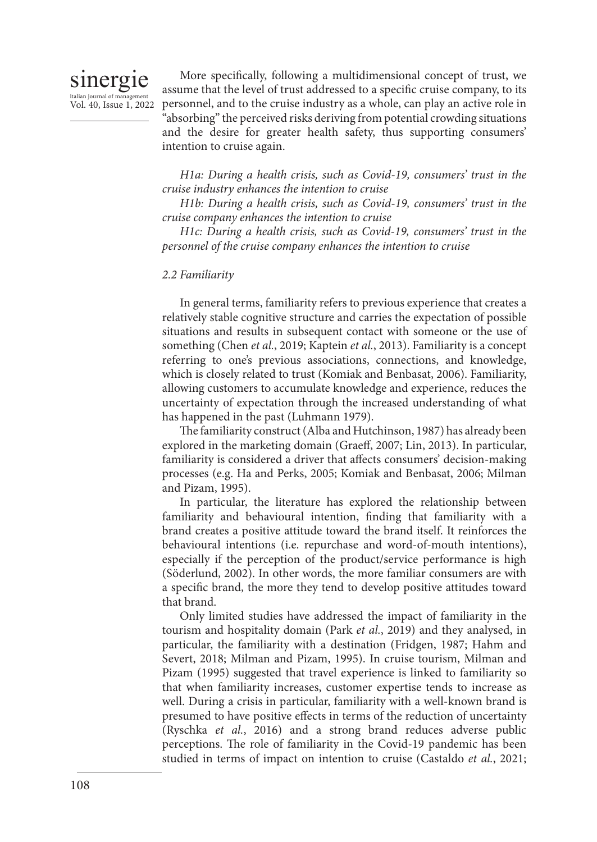

Vol. 40, Issue 1, 2022

More specifically, following a multidimensional concept of trust, we assume that the level of trust addressed to a specific cruise company, to its personnel, and to the cruise industry as a whole, can play an active role in "absorbing" the perceived risks deriving from potential crowding situations and the desire for greater health safety, thus supporting consumers' intention to cruise again.

*H1a: During a health crisis, such as Covid-19, consumers' trust in the cruise industry enhances the intention to cruise*

*H1b: During a health crisis, such as Covid-19, consumers' trust in the cruise company enhances the intention to cruise*

*H1c: During a health crisis, such as Covid-19, consumers' trust in the personnel of the cruise company enhances the intention to cruise*

# *2.2 Familiarity*

In general terms, familiarity refers to previous experience that creates a relatively stable cognitive structure and carries the expectation of possible situations and results in subsequent contact with someone or the use of something (Chen *et al.*, 2019; Kaptein *et al.*, 2013). Familiarity is a concept referring to one's previous associations, connections, and knowledge, which is closely related to trust (Komiak and Benbasat, 2006). Familiarity, allowing customers to accumulate knowledge and experience, reduces the uncertainty of expectation through the increased understanding of what has happened in the past (Luhmann 1979).

The familiarity construct (Alba and Hutchinson, 1987) has already been explored in the marketing domain (Graeff, 2007; Lin, 2013). In particular, familiarity is considered a driver that affects consumers' decision-making processes (e.g. Ha and Perks, 2005; Komiak and Benbasat, 2006; Milman and Pizam, 1995).

In particular, the literature has explored the relationship between familiarity and behavioural intention, finding that familiarity with a brand creates a positive attitude toward the brand itself. It reinforces the behavioural intentions (i.e. repurchase and word-of-mouth intentions), especially if the perception of the product/service performance is high (Söderlund, 2002). In other words, the more familiar consumers are with a specific brand, the more they tend to develop positive attitudes toward that brand.

Only limited studies have addressed the impact of familiarity in the tourism and hospitality domain (Park *et al.*, 2019) and they analysed, in particular, the familiarity with a destination (Fridgen, 1987; Hahm and Severt, 2018; Milman and Pizam, 1995). In cruise tourism, Milman and Pizam (1995) suggested that travel experience is linked to familiarity so that when familiarity increases, customer expertise tends to increase as well. During a crisis in particular, familiarity with a well-known brand is presumed to have positive effects in terms of the reduction of uncertainty (Ryschka *et al.*, 2016) and a strong brand reduces adverse public perceptions. The role of familiarity in the Covid-19 pandemic has been studied in terms of impact on intention to cruise (Castaldo *et al.*, 2021;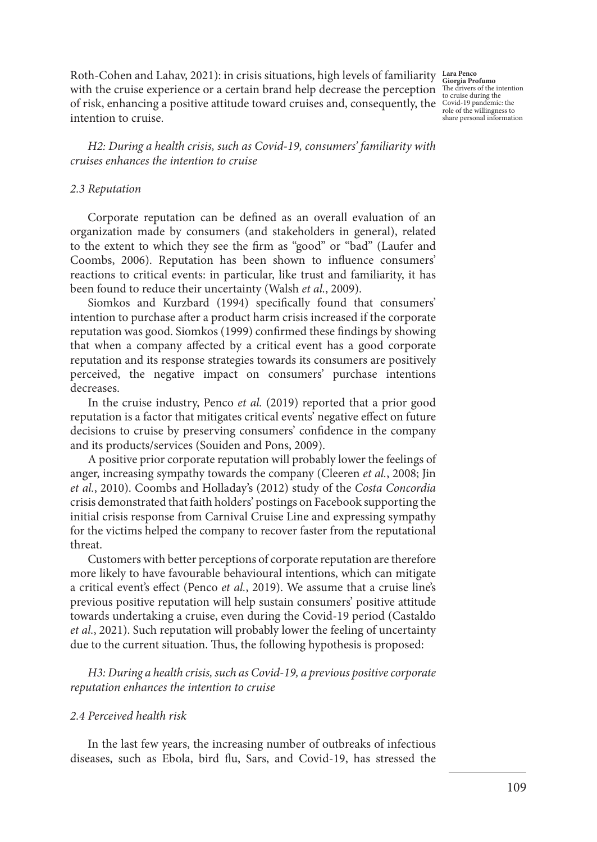Roth-Cohen and Lahav, 2021): in crisis situations, high levels of familiarity **Lara Penco**  with the cruise experience or a certain brand help decrease the perception of risk, enhancing a positive attitude toward cruises and, consequently, the  $\frac{\text{Covid-19}}{\text{pole of the will increase to}}$ intention to cruise.

**Giorgia Profumo**  The drivers of the intention to cruise during the role of the willingness to share personal information

*H2: During a health crisis, such as Covid-19, consumers' familiarity with cruises enhances the intention to cruise* 

#### *2.3 Reputation*

Corporate reputation can be defined as an overall evaluation of an organization made by consumers (and stakeholders in general), related to the extent to which they see the firm as "good" or "bad" (Laufer and Coombs, 2006). Reputation has been shown to influence consumers' reactions to critical events: in particular, like trust and familiarity, it has been found to reduce their uncertainty (Walsh *et al.*, 2009).

Siomkos and Kurzbard (1994) specifically found that consumers' intention to purchase after a product harm crisis increased if the corporate reputation was good. Siomkos (1999) confirmed these findings by showing that when a company affected by a critical event has a good corporate reputation and its response strategies towards its consumers are positively perceived, the negative impact on consumers' purchase intentions decreases.

In the cruise industry, Penco *et al.* (2019) reported that a prior good reputation is a factor that mitigates critical events' negative effect on future decisions to cruise by preserving consumers' confidence in the company and its products/services (Souiden and Pons, 2009).

A positive prior corporate reputation will probably lower the feelings of anger, increasing sympathy towards the company (Cleeren *et al.*, 2008; Jin *et al.*, 2010). Coombs and Holladay's (2012) study of the *Costa Concordia* crisis demonstrated that faith holders' postings on Facebook supporting the initial crisis response from Carnival Cruise Line and expressing sympathy for the victims helped the company to recover faster from the reputational threat.

Customers with better perceptions of corporate reputation are therefore more likely to have favourable behavioural intentions, which can mitigate a critical event's effect (Penco *et al.*, 2019). We assume that a cruise line's previous positive reputation will help sustain consumers' positive attitude towards undertaking a cruise, even during the Covid-19 period (Castaldo *et al.*, 2021). Such reputation will probably lower the feeling of uncertainty due to the current situation. Thus, the following hypothesis is proposed:

*H3: During a health crisis, such as Covid-19, a previous positive corporate reputation enhances the intention to cruise* 

### *2.4 Perceived health risk*

In the last few years, the increasing number of outbreaks of infectious diseases, such as Ebola, bird flu, Sars, and Covid-19, has stressed the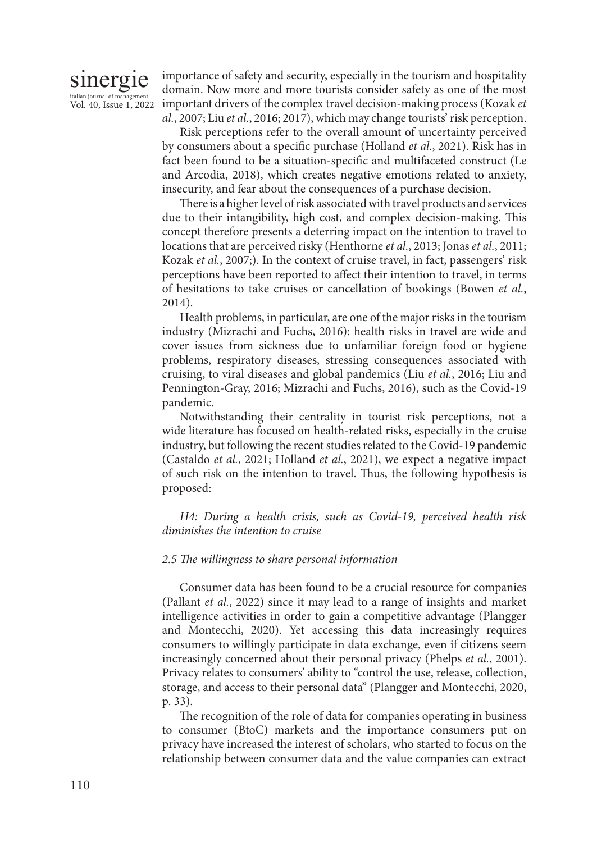# sinergie italian journal of man Vol. 40, Issue 1, 2022

importance of safety and security, especially in the tourism and hospitality domain. Now more and more tourists consider safety as one of the most important drivers of the complex travel decision-making process (Kozak *et al.*, 2007; Liu *et al.*, 2016; 2017), which may change tourists' risk perception.

Risk perceptions refer to the overall amount of uncertainty perceived by consumers about a specific purchase (Holland *et al.*, 2021). Risk has in fact been found to be a situation-specific and multifaceted construct (Le and Arcodia, 2018), which creates negative emotions related to anxiety, insecurity, and fear about the consequences of a purchase decision.

There is a higher level of risk associated with travel products and services due to their intangibility, high cost, and complex decision-making. This concept therefore presents a deterring impact on the intention to travel to locations that are perceived risky (Henthorne *et al.*, 2013; Jonas *et al.*, 2011; Kozak *et al.*, 2007;). In the context of cruise travel, in fact, passengers' risk perceptions have been reported to affect their intention to travel, in terms of hesitations to take cruises or cancellation of bookings (Bowen *et al.*, 2014).

Health problems, in particular, are one of the major risks in the tourism industry (Mizrachi and Fuchs, 2016): health risks in travel are wide and cover issues from sickness due to unfamiliar foreign food or hygiene problems, respiratory diseases, stressing consequences associated with cruising, to viral diseases and global pandemics (Liu *et al.*, 2016; Liu and Pennington-Gray, 2016; Mizrachi and Fuchs, 2016), such as the Covid-19 pandemic.

Notwithstanding their centrality in tourist risk perceptions, not a wide literature has focused on health-related risks, especially in the cruise industry, but following the recent studies related to the Covid-19 pandemic (Castaldo *et al.*, 2021; Holland *et al.*, 2021), we expect a negative impact of such risk on the intention to travel. Thus, the following hypothesis is proposed:

*H4: During a health crisis, such as Covid-19, perceived health risk diminishes the intention to cruise*

# *2.5 The willingness to share personal information*

Consumer data has been found to be a crucial resource for companies (Pallant *et al.*, 2022) since it may lead to a range of insights and market intelligence activities in order to gain a competitive advantage (Plangger and Montecchi, 2020). Yet accessing this data increasingly requires consumers to willingly participate in data exchange, even if citizens seem increasingly concerned about their personal privacy (Phelps *et al.*, 2001). Privacy relates to consumers' ability to "control the use, release, collection, storage, and access to their personal data" (Plangger and Montecchi, 2020, p. 33).

The recognition of the role of data for companies operating in business to consumer (BtoC) markets and the importance consumers put on privacy have increased the interest of scholars, who started to focus on the relationship between consumer data and the value companies can extract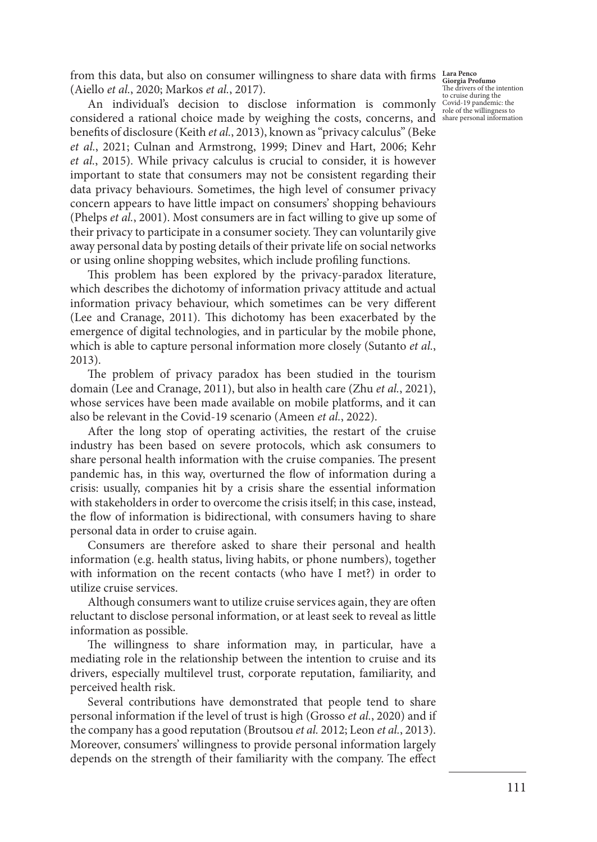from this data, but also on consumer willingness to share data with firms **Lara Penco Giorgia Profumo**  (Aiello *et al.*, 2020; Markos *et al.*, 2017).

An individual's decision to disclose information is commonly considered a rational choice made by weighing the costs, concerns, and benefits of disclosure (Keith *et al.*, 2013), known as "privacy calculus" (Beke *et al.*, 2021; Culnan and Armstrong, 1999; Dinev and Hart, 2006; Kehr *et al.*, 2015). While privacy calculus is crucial to consider, it is however important to state that consumers may not be consistent regarding their data privacy behaviours. Sometimes, the high level of consumer privacy concern appears to have little impact on consumers' shopping behaviours (Phelps *et al.*, 2001). Most consumers are in fact willing to give up some of their privacy to participate in a consumer society. They can voluntarily give away personal data by posting details of their private life on social networks or using online shopping websites, which include profiling functions.

This problem has been explored by the privacy-paradox literature, which describes the dichotomy of information privacy attitude and actual information privacy behaviour, which sometimes can be very different (Lee and Cranage, 2011). This dichotomy has been exacerbated by the emergence of digital technologies, and in particular by the mobile phone, which is able to capture personal information more closely (Sutanto *et al.*, 2013).

The problem of privacy paradox has been studied in the tourism domain (Lee and Cranage, 2011), but also in health care (Zhu *et al.*, 2021), whose services have been made available on mobile platforms, and it can also be relevant in the Covid-19 scenario (Ameen *et al.*, 2022).

After the long stop of operating activities, the restart of the cruise industry has been based on severe protocols, which ask consumers to share personal health information with the cruise companies. The present pandemic has, in this way, overturned the flow of information during a crisis: usually, companies hit by a crisis share the essential information with stakeholders in order to overcome the crisis itself; in this case, instead, the flow of information is bidirectional, with consumers having to share personal data in order to cruise again.

Consumers are therefore asked to share their personal and health information (e.g. health status, living habits, or phone numbers), together with information on the recent contacts (who have I met?) in order to utilize cruise services.

Although consumers want to utilize cruise services again, they are often reluctant to disclose personal information, or at least seek to reveal as little information as possible.

The willingness to share information may, in particular, have a mediating role in the relationship between the intention to cruise and its drivers, especially multilevel trust, corporate reputation, familiarity, and perceived health risk.

Several contributions have demonstrated that people tend to share personal information if the level of trust is high (Grosso *et al.*, 2020) and if the company has a good reputation (Broutsou *et al.* 2012; Leon *et al.*, 2013). Moreover, consumers' willingness to provide personal information largely depends on the strength of their familiarity with the company. The effect

The drivers of the intention to cruise during the Covid-19 pandemic: the role of the willingness to share personal information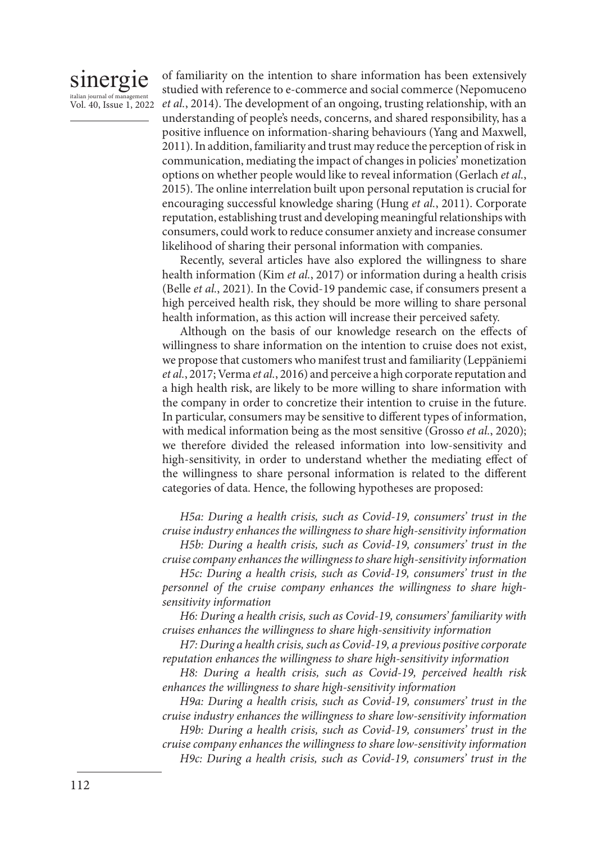# sinergie italian journal of mana Vol. 40, Issue 1, 2022

of familiarity on the intention to share information has been extensively studied with reference to e-commerce and social commerce (Nepomuceno *et al.*, 2014). The development of an ongoing, trusting relationship, with an understanding of people's needs, concerns, and shared responsibility, has a positive influence on information-sharing behaviours (Yang and Maxwell, 2011). In addition, familiarity and trust may reduce the perception of risk in communication, mediating the impact of changes in policies' monetization options on whether people would like to reveal information (Gerlach *et al.*, 2015). The online interrelation built upon personal reputation is crucial for encouraging successful knowledge sharing (Hung *et al.*, 2011). Corporate reputation, establishing trust and developing meaningful relationships with consumers, could work to reduce consumer anxiety and increase consumer likelihood of sharing their personal information with companies.

Recently, several articles have also explored the willingness to share health information (Kim *et al.*, 2017) or information during a health crisis (Belle *et al.*, 2021). In the Covid-19 pandemic case, if consumers present a high perceived health risk, they should be more willing to share personal health information, as this action will increase their perceived safety.

Although on the basis of our knowledge research on the effects of willingness to share information on the intention to cruise does not exist, we propose that customers who manifest trust and familiarity (Leppäniemi *et al.*, 2017; Verma *et al.*, 2016) and perceive a high corporate reputation and a high health risk, are likely to be more willing to share information with the company in order to concretize their intention to cruise in the future. In particular, consumers may be sensitive to different types of information, with medical information being as the most sensitive (Grosso *et al.*, 2020); we therefore divided the released information into low-sensitivity and high-sensitivity, in order to understand whether the mediating effect of the willingness to share personal information is related to the different categories of data. Hence, the following hypotheses are proposed:

*H5a: During a health crisis, such as Covid-19, consumers' trust in the cruise industry enhances the willingness to share high-sensitivity information H5b: During a health crisis, such as Covid-19, consumers' trust in the* 

*cruise company enhances the willingness to share high-sensitivity information H5c: During a health crisis, such as Covid-19, consumers' trust in the* 

*personnel of the cruise company enhances the willingness to share highsensitivity information*

*H6: During a health crisis, such as Covid-19, consumers' familiarity with cruises enhances the willingness to share high-sensitivity information*

*H7: During a health crisis, such as Covid-19, a previous positive corporate reputation enhances the willingness to share high-sensitivity information*

*H8: During a health crisis, such as Covid-19, perceived health risk enhances the willingness to share high-sensitivity information*

*H9a: During a health crisis, such as Covid-19, consumers' trust in the cruise industry enhances the willingness to share low-sensitivity information*

*H9b: During a health crisis, such as Covid-19, consumers' trust in the cruise company enhances the willingness to share low-sensitivity information H9c: During a health crisis, such as Covid-19, consumers' trust in the*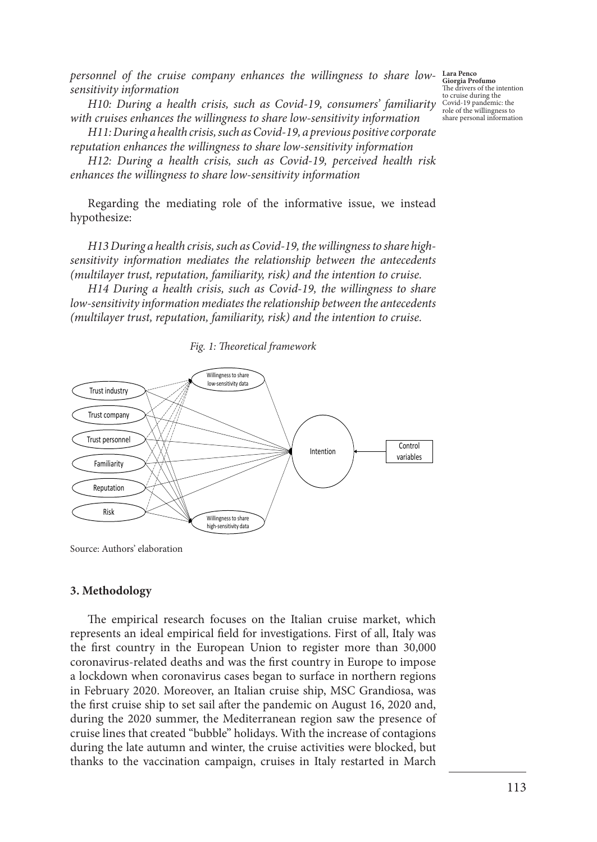*personnel of the cruise company enhances the willingness to share lowsensitivity information*

*H10: During a health crisis, such as Covid-19, consumers' familiarity with cruises enhances the willingness to share low-sensitivity information*

*H11: During a health crisis, such as Covid-19, a previous positive corporate reputation enhances the willingness to share low-sensitivity information*

*H12: During a health crisis, such as Covid-19, perceived health risk enhances the willingness to share low-sensitivity information*

Regarding the mediating role of the informative issue, we instead hypothesize:

*H13 During a health crisis, such as Covid-19, the willingness to share highsensitivity information mediates the relationship between the antecedents (multilayer trust, reputation, familiarity, risk) and the intention to cruise.*

*H14 During a health crisis, such as Covid-19, the willingness to share low-sensitivity information mediates the relationship between the antecedents (multilayer trust, reputation, familiarity, risk) and the intention to cruise.*

*Fig. 1: Theoretical framework*



Source: Authors' elaboration

#### **3. Methodology**

The empirical research focuses on the Italian cruise market, which represents an ideal empirical field for investigations. First of all, Italy was the first country in the European Union to register more than 30,000 coronavirus-related deaths and was the first country in Europe to impose a lockdown when coronavirus cases began to surface in northern regions in February 2020. Moreover, an Italian cruise ship, MSC Grandiosa, was the first cruise ship to set sail after the pandemic on August 16, 2020 and, during the 2020 summer, the Mediterranean region saw the presence of cruise lines that created "bubble" holidays. With the increase of contagions during the late autumn and winter, the cruise activities were blocked, but thanks to the vaccination campaign, cruises in Italy restarted in March

**Lara Penco Giorgia Profumo**  The drivers of the intention to cruise during the Covid-19 pandemic: the role of the willingness to share personal information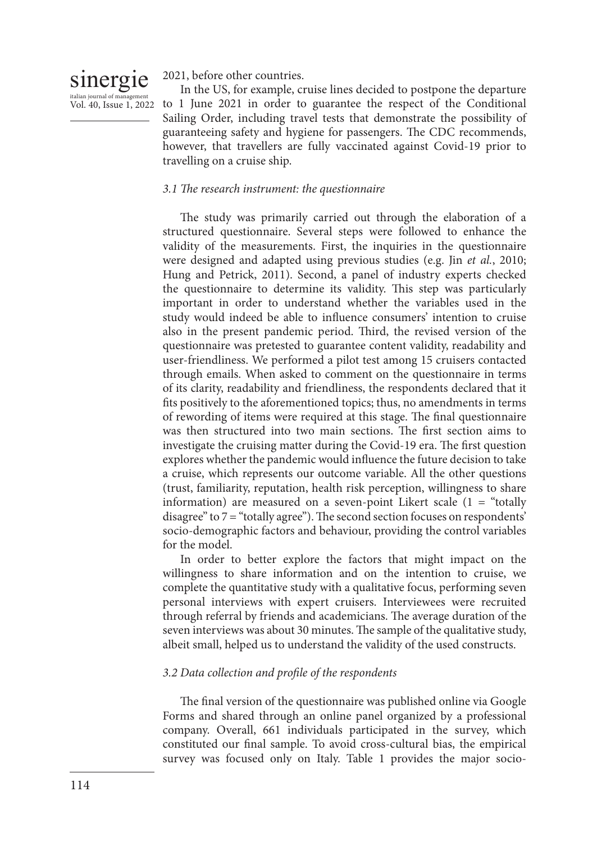# sinergie

italian journal of manag

2021, before other countries.

Vol. 40, Issue 1, 2022 to 1 June 2021 in order to guarantee the respect of the Conditional In the US, for example, cruise lines decided to postpone the departure Sailing Order, including travel tests that demonstrate the possibility of guaranteeing safety and hygiene for passengers. The CDC recommends, however, that travellers are fully vaccinated against Covid-19 prior to travelling on a cruise ship.

# *3.1 The research instrument: the questionnaire*

The study was primarily carried out through the elaboration of a structured questionnaire. Several steps were followed to enhance the validity of the measurements. First, the inquiries in the questionnaire were designed and adapted using previous studies (e.g. Jin *et al.*, 2010; Hung and Petrick, 2011). Second, a panel of industry experts checked the questionnaire to determine its validity. This step was particularly important in order to understand whether the variables used in the study would indeed be able to influence consumers' intention to cruise also in the present pandemic period. Third, the revised version of the questionnaire was pretested to guarantee content validity, readability and user-friendliness. We performed a pilot test among 15 cruisers contacted through emails. When asked to comment on the questionnaire in terms of its clarity, readability and friendliness, the respondents declared that it fits positively to the aforementioned topics; thus, no amendments in terms of rewording of items were required at this stage. The final questionnaire was then structured into two main sections. The first section aims to investigate the cruising matter during the Covid-19 era. The first question explores whether the pandemic would influence the future decision to take a cruise, which represents our outcome variable. All the other questions (trust, familiarity, reputation, health risk perception, willingness to share information) are measured on a seven-point Likert scale  $(1 -$  "totally disagree" to 7 = "totally agree"). The second section focuses on respondents' socio-demographic factors and behaviour, providing the control variables for the model.

In order to better explore the factors that might impact on the willingness to share information and on the intention to cruise, we complete the quantitative study with a qualitative focus, performing seven personal interviews with expert cruisers. Interviewees were recruited through referral by friends and academicians. The average duration of the seven interviews was about 30 minutes. The sample of the qualitative study, albeit small, helped us to understand the validity of the used constructs.

# *3.2 Data collection and profile of the respondents*

The final version of the questionnaire was published online via Google Forms and shared through an online panel organized by a professional company. Overall, 661 individuals participated in the survey, which constituted our final sample. To avoid cross-cultural bias, the empirical survey was focused only on Italy. Table 1 provides the major socio-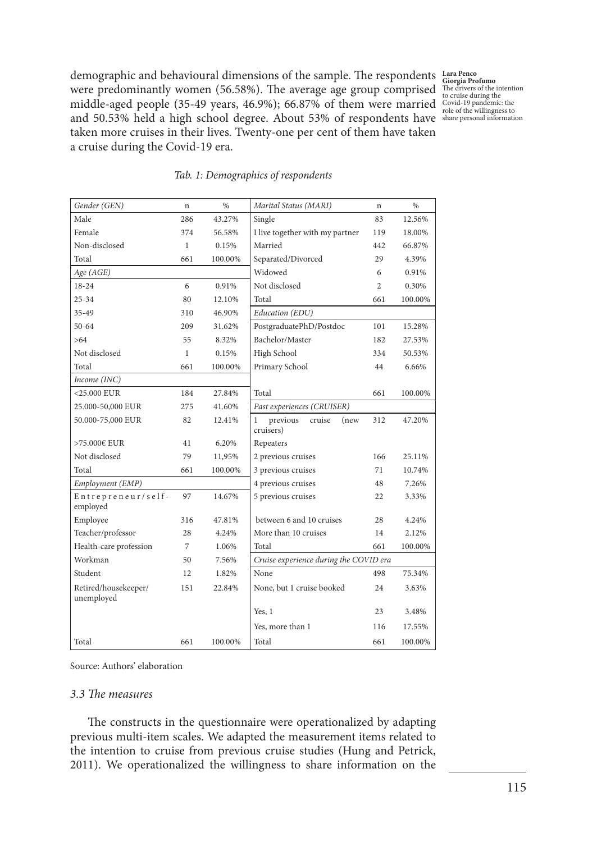demographic and behavioural dimensions of the sample. The respondents were predominantly women (56.58%). The average age group comprised middle-aged people (35-49 years, 46.9%); 66.87% of them were married and 50.53% held a high school degree. About 53% of respondents have taken more cruises in their lives. Twenty-one per cent of them have taken a cruise during the Covid-19 era.

**Lara Penco Giorgia Profumo**  The drivers of the intention to cruise during the Covid-19 pandemic: the role of the willingness to share personal information

| Gender (GEN)                       | n            | %       | Marital Status (MARI)                        | n              | %       |
|------------------------------------|--------------|---------|----------------------------------------------|----------------|---------|
| Male                               | 286          | 43.27%  | Single                                       | 83             | 12.56%  |
| Female                             | 374          | 56.58%  | I live together with my partner              | 119            | 18.00%  |
| Non-disclosed                      | $\mathbf{1}$ | 0.15%   | Married                                      | 442            | 66.87%  |
| Total                              | 661          | 100.00% | Separated/Divorced                           | 29             | 4.39%   |
| Age (AGE)                          |              |         | Widowed                                      | 6              | 0.91%   |
| 18-24                              | 6            | 0.91%   | Not disclosed                                | $\overline{c}$ | 0.30%   |
| $25 - 34$                          | 80           | 12.10%  | Total                                        | 661            | 100.00% |
| 35-49                              | 310          | 46.90%  | Education (EDU)                              |                |         |
| $50 - 64$                          | 209          | 31.62%  | PostgraduatePhD/Postdoc                      | 101            | 15.28%  |
| >64                                | 55           | 8.32%   | Bachelor/Master                              | 182            | 27.53%  |
| Not disclosed                      | $\mathbf{1}$ | 0.15%   | High School                                  | 334            | 50.53%  |
| Total                              | 661          | 100.00% | Primary School                               | 44             | 6.66%   |
| Income (INC)                       |              |         |                                              |                |         |
| $<$ 25.000 EUR                     | 184          | 27.84%  | Total                                        | 661            | 100.00% |
| 25.000-50,000 EUR                  | 275          | 41.60%  | Past experiences (CRUISER)                   |                |         |
| 50.000-75,000 EUR                  | 82           | 12.41%  | previous<br>cruise<br>(new<br>1<br>cruisers) | 312            | 47.20%  |
| >75.000€ EUR                       | 41           | 6.20%   | Repeaters                                    |                |         |
| Not disclosed                      | 79           | 11,95%  | 2 previous cruises                           | 166            | 25.11%  |
| Total                              | 661          | 100.00% | 3 previous cruises                           | 71             | 10.74%  |
| Employment (EMP)                   |              |         | 4 previous cruises                           | 48             | 7.26%   |
| Entrepreneur/self-<br>employed     | 97           | 14.67%  | 5 previous cruises                           | 22             | 3.33%   |
| Employee                           | 316          | 47.81%  | between 6 and 10 cruises                     | 28             | 4.24%   |
| Teacher/professor                  | 28           | 4.24%   | More than 10 cruises                         | 14             | 2.12%   |
| Health-care profession             | 7            | 1.06%   | Total                                        | 661            | 100.00% |
| Workman                            | 50           | 7.56%   | Cruise experience during the COVID era       |                |         |
| Student                            | 12           | 1.82%   | None                                         | 498            | 75.34%  |
| Retired/housekeeper/<br>unemployed | 151          | 22.84%  | None, but 1 cruise booked                    | 24             | 3.63%   |
|                                    |              |         | Yes, $1$                                     | 23             | 3.48%   |
|                                    |              |         | Yes, more than 1                             | 116            | 17.55%  |
| Total                              | 661          | 100.00% | Total                                        | 661            | 100.00% |
|                                    |              |         |                                              |                |         |

#### *Tab. 1: Demographics of respondents*

Source: Authors' elaboration

#### *3.3 The measures*

The constructs in the questionnaire were operationalized by adapting previous multi-item scales. We adapted the measurement items related to the intention to cruise from previous cruise studies (Hung and Petrick, 2011). We operationalized the willingness to share information on the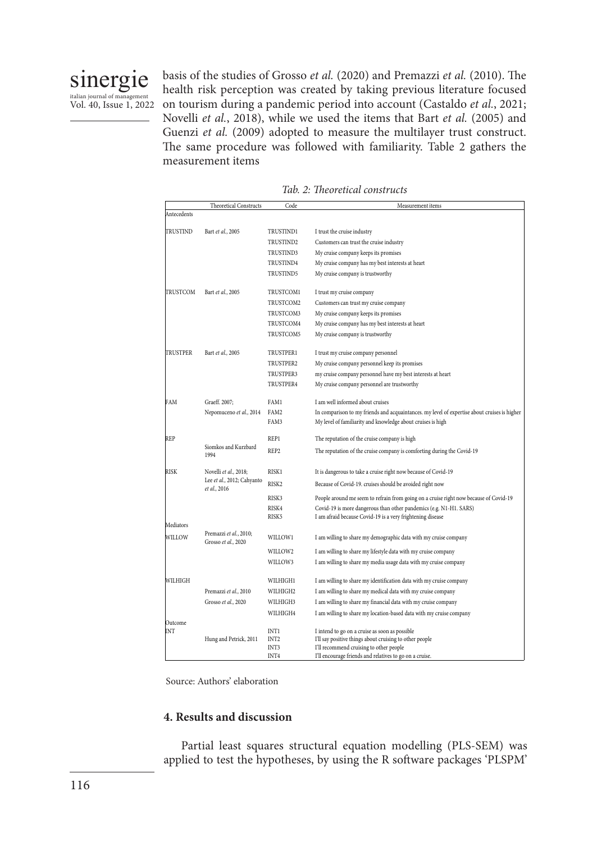

basis of the studies of Grosso *et al.* (2020) and Premazzi *et al.* (2010). The health risk perception was created by taking previous literature focused on tourism during a pandemic period into account (Castaldo *et al.*, 2021; Novelli *et al.*, 2018), while we used the items that Bart *et al.* (2005) and Guenzi *et al.* (2009) adopted to measure the multilayer trust construct. The same procedure was followed with familiarity. Table 2 gathers the measurement items

*Tab. 2: Theoretical constructs*

|             | <b>Theoretical Constructs</b>                 | Code                     | Measurement items                                                                                  |
|-------------|-----------------------------------------------|--------------------------|----------------------------------------------------------------------------------------------------|
| Antecedents |                                               |                          |                                                                                                    |
|             |                                               |                          |                                                                                                    |
| TRUSTIND    | Bart et al., 2005                             | <b>TRUSTIND1</b>         | I trust the cruise industry                                                                        |
|             |                                               | TRUSTIND2                | Customers can trust the cruise industry                                                            |
|             |                                               | TRUSTIND3                | My cruise company keeps its promises                                                               |
|             |                                               | TRUSTIND4                | My cruise company has my best interests at heart                                                   |
|             |                                               | TRUSTIND5                | My cruise company is trustworthy                                                                   |
|             |                                               |                          |                                                                                                    |
| TRUSTCOM    | Bart et al., 2005                             | TRUSTCOM1                | I trust my cruise company                                                                          |
|             |                                               | TRUSTCOM2                | Customers can trust my cruise company                                                              |
|             |                                               | TRUSTCOM3                | My cruise company keeps its promises                                                               |
|             |                                               | TRUSTCOM4                | My cruise company has my best interests at heart                                                   |
|             |                                               | TRUSTCOM5                | My cruise company is trustworthy                                                                   |
| TRUSTPER    |                                               | <b>TRUSTPER1</b>         |                                                                                                    |
|             | Bart et al., 2005                             | TRUSTPER2                | I trust my cruise company personnel<br>My cruise company personnel keep its promises               |
|             |                                               | TRUSTPER3                |                                                                                                    |
|             |                                               | TRUSTPER4                | my cruise company personnel have my best interests at heart                                        |
|             |                                               |                          | My cruise company personnel are trustworthy                                                        |
| FAM         | Graeff. 2007;                                 | FAM1                     | I am well informed about cruises                                                                   |
|             | Nepomuceno et al., 2014                       | FAM2                     | In comparison to my friends and acquaintances. my level of expertise about cruises is higher       |
|             |                                               | FAM3                     | My level of familiarity and knowledge about cruises is high                                        |
|             |                                               |                          |                                                                                                    |
| <b>REP</b>  | Siomkos and Kurzbard                          | REP1                     | The reputation of the cruise company is high                                                       |
|             | 1994                                          | REP <sub>2</sub>         | The reputation of the cruise company is comforting during the Covid-19                             |
|             |                                               |                          |                                                                                                    |
| <b>RISK</b> | Novelli et al., 2018;                         | <b>RISK1</b>             | It is dangerous to take a cruise right now because of Covid-19                                     |
|             | Lee et al., 2012; Cahyanto<br>et al., 2016    | RISK2                    | Because of Covid-19. cruises should be avoided right now                                           |
|             |                                               | RISK3                    | People around me seem to refrain from going on a cruise right now because of Covid-19              |
|             |                                               | RISK4                    | Covid-19 is more dangerous than other pandemics (e.g. N1-H1. SARS)                                 |
|             |                                               | RISK5                    | I am afraid because Covid-19 is a very frightening disease                                         |
| Mediators   |                                               |                          |                                                                                                    |
| WILLOW      | Premazzi et al., 2010;<br>Grosso et al., 2020 | WILLOW1                  | I am willing to share my demographic data with my cruise company                                   |
|             |                                               | WILLOW2                  | I am willing to share my lifestyle data with my cruise company                                     |
|             |                                               | WILLOW3                  | I am willing to share my media usage data with my cruise company                                   |
|             |                                               |                          |                                                                                                    |
| WILHIGH     |                                               | <b>WILHIGH1</b>          | I am willing to share my identification data with my cruise company                                |
|             | Premazzi et al., 2010                         | WILHIGH2                 | I am willing to share my medical data with my cruise company                                       |
|             | Grosso et al., 2020                           | WILHIGH3                 | I am willing to share my financial data with my cruise company                                     |
|             |                                               | WILHIGH4                 | I am willing to share my location-based data with my cruise company                                |
| Outcome     |                                               |                          |                                                                                                    |
| INT         |                                               | INT1                     | I intend to go on a cruise as soon as possible                                                     |
|             | Hung and Petrick, 2011                        | INT <sub>2</sub><br>INT3 | I'll say positive things about cruising to other people                                            |
|             |                                               | INT4                     | I'll recommend cruising to other people<br>I'll encourage friends and relatives to go on a cruise. |

Source: Authors' elaboration

# **4. Results and discussion**

Partial least squares structural equation modelling (PLS-SEM) was applied to test the hypotheses, by using the R software packages 'PLSPM'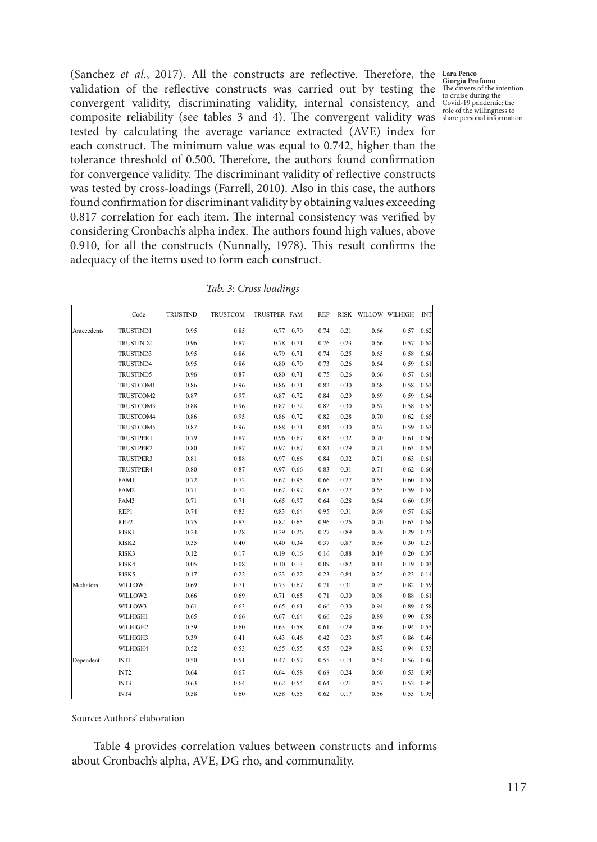(Sanchez *et al.*, 2017). All the constructs are reflective. Therefore, the **Lara Penco**  validation of the reflective constructs was carried out by testing the convergent validity, discriminating validity, internal consistency, and composite reliability (see tables 3 and 4). The convergent validity was tested by calculating the average variance extracted (AVE) index for each construct. The minimum value was equal to 0.742, higher than the tolerance threshold of 0.500. Therefore, the authors found confirmation for convergence validity. The discriminant validity of reflective constructs was tested by cross-loadings (Farrell, 2010). Also in this case, the authors found confirmation for discriminant validity by obtaining values exceeding 0.817 correlation for each item. The internal consistency was verified by considering Cronbach's alpha index. The authors found high values, above 0.910, for all the constructs (Nunnally, 1978). This result confirms the adequacy of the items used to form each construct.

|             | Code             | <b>TRUSTIND</b> | TRUSTCOM | TRUSTPER FAM |      | <b>REP</b> |      |      | RISK WILLOW WILHIGH | <b>INT</b> |
|-------------|------------------|-----------------|----------|--------------|------|------------|------|------|---------------------|------------|
| Antecedents | <b>TRUSTIND1</b> | 0.95            | 0.85     | 0.77         | 0.70 | 0.74       | 0.21 | 0.66 | 0.57                | 0.62       |
|             | TRUSTIND2        | 0.96            | 0.87     | 0.78         | 0.71 | 0.76       | 0.23 | 0.66 | 0.57                | 0.62       |
|             | <b>TRUSTIND3</b> | 0.95            | 0.86     | 0.79         | 0.71 | 0.74       | 0.25 | 0.65 | 0.58                | 0.60       |
|             | <b>TRUSTIND4</b> | 0.95            | 0.86     | 0.80         | 0.70 | 0.73       | 0.26 | 0.64 | 0.59                | 0.61       |
|             | <b>TRUSTIND5</b> | 0.96            | 0.87     | 0.80         | 0.71 | 0.75       | 0.26 | 0.66 | 0.57                | 0.61       |
|             | TRUSTCOM1        | 0.86            | 0.96     | 0.86         | 0.71 | 0.82       | 0.30 | 0.68 | 0.58                | 0.63       |
|             | TRUSTCOM2        | 0.87            | 0.97     | 0.87         | 0.72 | 0.84       | 0.29 | 0.69 | 0.59                | 0.64       |
|             | TRUSTCOM3        | 0.88            | 0.96     | 0.87         | 0.72 | 0.82       | 0.30 | 0.67 | 0.58                | 0.63       |
|             | TRUSTCOM4        | 0.86            | 0.95     | 0.86         | 0.72 | 0.82       | 0.28 | 0.70 | 0.62                | 0.65       |
|             | TRUSTCOM5        | 0.87            | 0.96     | 0.88         | 0.71 | 0.84       | 0.30 | 0.67 | 0.59                | 0.63       |
|             | TRUSTPER1        | 0.79            | 0.87     | 0.96         | 0.67 | 0.83       | 0.32 | 0.70 | 0.61                | 0.60       |
|             | TRUSTPER2        | 0.80            | 0.87     | 0.97         | 0.67 | 0.84       | 0.29 | 0.71 | 0.63                | 0.63       |
|             | TRUSTPER3        | 0.81            | 0.88     | 0.97         | 0.66 | 0.84       | 0.32 | 0.71 | 0.63                | 0.61       |
|             | TRUSTPER4        | 0.80            | 0.87     | 0.97         | 0.66 | 0.83       | 0.31 | 0.71 | 0.62                | 0.60       |
|             | FAM1             | 0.72            | 0.72     | 0.67         | 0.95 | 0.66       | 0.27 | 0.65 | 0.60                | 0.58       |
|             | FAM2             | 0.71            | 0.72     | 0.67         | 0.97 | 0.65       | 0.27 | 0.65 | 0.59                | 0.58       |
|             | FAM3             | 0.71            | 0.71     | 0.65         | 0.97 | 0.64       | 0.28 | 0.64 | 0.60                | 0.59       |
|             | REP1             | 0.74            | 0.83     | 0.83         | 0.64 | 0.95       | 0.31 | 0.69 | 0.57                | 0.62       |
|             | REP <sub>2</sub> | 0.75            | 0.83     | 0.82         | 0.65 | 0.96       | 0.26 | 0.70 | 0.63                | 0.68       |
|             | RISK1            | 0.24            | 0.28     | 0.29         | 0.26 | 0.27       | 0.89 | 0.29 | 0.29                | 0.23       |
|             | RISK2            | 0.35            | 0.40     | 0.40         | 0.34 | 0.37       | 0.87 | 0.36 | 0.30                | 0.27       |
|             | RISK3            | 0.12            | 0.17     | 0.19         | 0.16 | 0.16       | 0.88 | 0.19 | 0.20                | 0.07       |
|             | RISK4            | 0.05            | 0.08     | 0.10         | 0.13 | 0.09       | 0.82 | 0.14 | 0.19                | 0.03       |
|             | RISK5            | 0.17            | 0.22     | 0.23         | 0.22 | 0.23       | 0.84 | 0.25 | 0.23                | 0.14       |
| Mediators   | WILLOW1          | 0.69            | 0.71     | 0.73         | 0.67 | 0.71       | 0.31 | 0.95 | 0.82                | 0.59       |
|             | WILLOW2          | 0.66            | 0.69     | 0.71         | 0.65 | 0.71       | 0.30 | 0.98 | 0.88                | 0.61       |
|             | WILLOW3          | 0.61            | 0.63     | 0.65         | 0.61 | 0.66       | 0.30 | 0.94 | 0.89                | 0.58       |
|             | WILHIGH1         | 0.65            | 0.66     | 0.67         | 0.64 | 0.66       | 0.26 | 0.89 | 0.90                | 0.58       |
|             | WILHIGH2         | 0.59            | 0.60     | 0.63         | 0.58 | 0.61       | 0.29 | 0.86 | 0.94                | 0.55       |
|             | WILHIGH3         | 0.39            | 0.41     | 0.43         | 0.46 | 0.42       | 0.23 | 0.67 | 0.86                | 0.46       |
|             | WILHIGH4         | 0.52            | 0.53     | 0.55         | 0.55 | 0.55       | 0.29 | 0.82 | 0.94                | 0.53       |
| Dependent   | INT1             | 0.50            | 0.51     | 0.47         | 0.57 | 0.55       | 0.14 | 0.54 | 0.56                | 0.86       |
|             | INT <sub>2</sub> | 0.64            | 0.67     | 0.64         | 0.58 | 0.68       | 0.24 | 0.60 | 0.53                | 0.93       |
|             | INT3             | 0.63            | 0.64     | 0.62         | 0.54 | 0.64       | 0.21 | 0.57 | 0.52                | 0.95       |
|             | INT4             | 0.58            | 0.60     | 0.58         | 0.55 | 0.62       | 0.17 | 0.56 | 0.55                | 0.95       |

Source: Authors' elaboration

 Table 4 provides correlation values between constructs and informs about Cronbach's alpha, AVE, DG rho, and communality.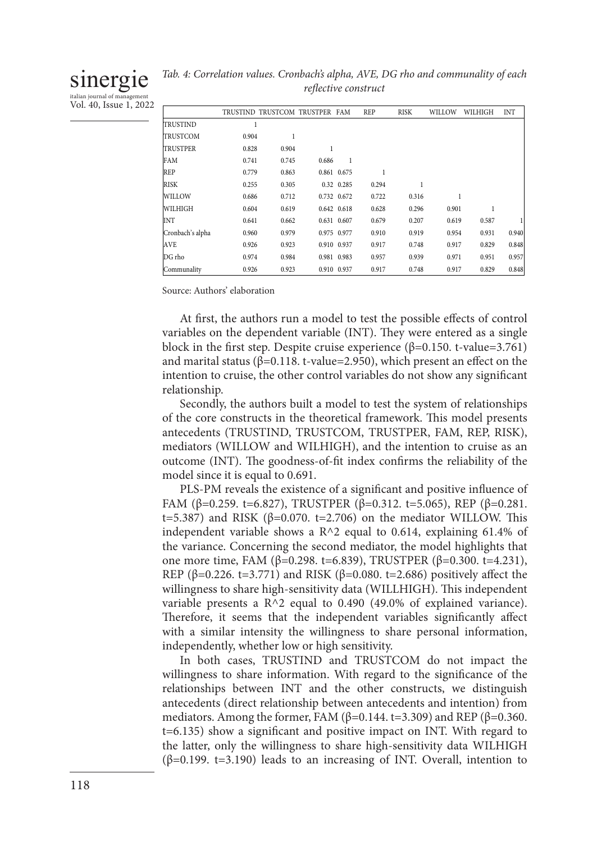# sinergie

italian journal of management Vol. 40, Issue 1, 2022

|  | Tab. 4: Correlation values. Cronbach's alpha, AVE, DG rho and communality of each |  |  |
|--|-----------------------------------------------------------------------------------|--|--|
|  | reflective construct                                                              |  |  |
|  |                                                                                   |  |  |

|                  |       | TRUSTIND TRUSTCOM TRUSTPER FAM |       |             | <b>REP</b> | <b>RISK</b> | WILLOW | WILHIGH | <b>INT</b> |
|------------------|-------|--------------------------------|-------|-------------|------------|-------------|--------|---------|------------|
| <b>TRUSTIND</b>  |       |                                |       |             |            |             |        |         |            |
| <b>TRUSTCOM</b>  | 0.904 |                                |       |             |            |             |        |         |            |
| <b>TRUSTPER</b>  | 0.828 | 0.904                          |       |             |            |             |        |         |            |
| FAM              | 0.741 | 0.745                          | 0.686 |             |            |             |        |         |            |
| REP              | 0.779 | 0.863                          |       | 0.861 0.675 | 1          |             |        |         |            |
| <b>RISK</b>      | 0.255 | 0.305                          |       | 0.32 0.285  | 0.294      |             |        |         |            |
| WILLOW           | 0.686 | 0.712                          |       | 0.732 0.672 | 0.722      | 0.316       |        |         |            |
| WILHIGH          | 0.604 | 0.619                          |       | 0.642 0.618 | 0.628      | 0.296       | 0.901  |         |            |
| INT              | 0.641 | 0.662                          |       | 0.631 0.607 | 0.679      | 0.207       | 0.619  | 0.587   |            |
| Cronbach's alpha | 0.960 | 0.979                          |       | 0.975 0.977 | 0.910      | 0.919       | 0.954  | 0.931   | 0.940      |
| <b>AVE</b>       | 0.926 | 0.923                          |       | 0.910 0.937 | 0.917      | 0.748       | 0.917  | 0.829   | 0.848      |
| DG rho           | 0.974 | 0.984                          |       | 0.981 0.983 | 0.957      | 0.939       | 0.971  | 0.951   | 0.957      |
| Communality      | 0.926 | 0.923                          |       | 0.910 0.937 | 0.917      | 0.748       | 0.917  | 0.829   | 0.848      |

Source: Authors' elaboration

At first, the authors run a model to test the possible effects of control variables on the dependent variable (INT). They were entered as a single block in the first step. Despite cruise experience ( $\beta$ =0.150. t-value=3.761) and marital status ( $\beta$ =0.118. t-value=2.950), which present an effect on the intention to cruise, the other control variables do not show any significant relationship.

Secondly, the authors built a model to test the system of relationships of the core constructs in the theoretical framework. This model presents antecedents (TRUSTIND, TRUSTCOM, TRUSTPER, FAM, REP, RISK), mediators (WILLOW and WILHIGH), and the intention to cruise as an outcome (INT). The goodness-of-fit index confirms the reliability of the model since it is equal to 0.691.

PLS-PM reveals the existence of a significant and positive influence of FAM (β=0.259. t=6.827), TRUSTPER (β=0.312. t=5.065), REP (β=0.281. t=5.387) and RISK ( $β=0.070$ . t=2.706) on the mediator WILLOW. This independent variable shows a  $R^2$  equal to 0.614, explaining 61.4% of the variance. Concerning the second mediator, the model highlights that one more time, FAM (β=0.298. t=6.839), TRUSTPER (β=0.300. t=4.231), REP (β=0.226. t=3.771) and RISK (β=0.080. t=2.686) positively affect the willingness to share high-sensitivity data (WILLHIGH). This independent variable presents a R^2 equal to 0.490 (49.0% of explained variance). Therefore, it seems that the independent variables significantly affect with a similar intensity the willingness to share personal information, independently, whether low or high sensitivity.

In both cases, TRUSTIND and TRUSTCOM do not impact the willingness to share information. With regard to the significance of the relationships between INT and the other constructs, we distinguish antecedents (direct relationship between antecedents and intention) from mediators. Among the former, FAM ( $\beta$ =0.144. t=3.309) and REP ( $\beta$ =0.360. t=6.135) show a significant and positive impact on INT. With regard to the latter, only the willingness to share high-sensitivity data WILHIGH (β=0.199. t=3.190) leads to an increasing of INT. Overall, intention to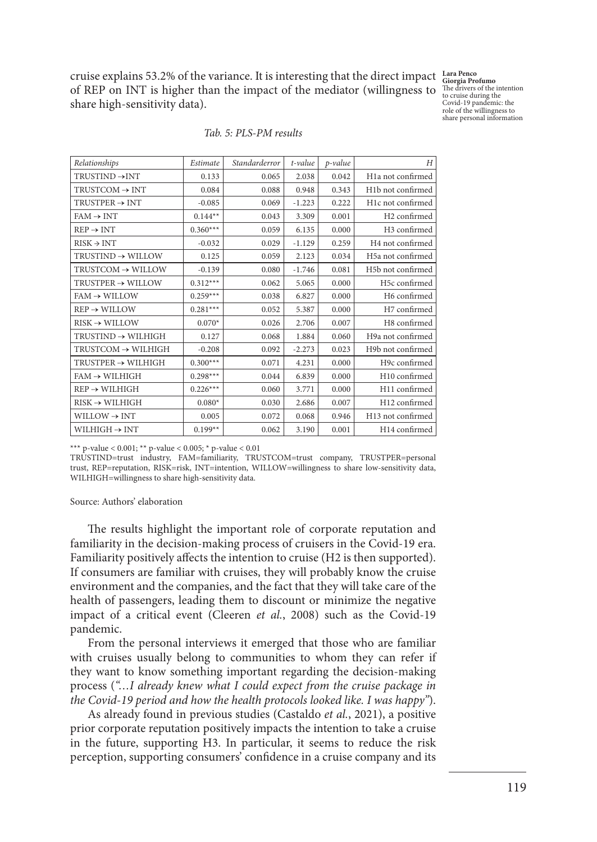cruise explains 53.2% of the variance. It is interesting that the direct impact **Lara Penco Giorgia Profumo**  of REP on INT is higher than the impact of the mediator (willingness to share high-sensitivity data).

The drivers of the intention to cruise during the Covid-19 pandemic: the role of the willingness to share personal information

| Relationships                   | Estimate   | Standarderror | t-value  | p-value | H                              |
|---------------------------------|------------|---------------|----------|---------|--------------------------------|
| $TRUSTIND \rightarrow INT$      | 0.133      | 0.065         | 2.038    | 0.042   | H <sub>1</sub> a not confirmed |
| $TRUSTCOM \rightarrow INT$      | 0.084      | 0.088         | 0.948    | 0.343   | H <sub>1</sub> b not confirmed |
| $TRUSTPER \rightarrow INT$      | $-0.085$   | 0.069         | $-1.223$ | 0.222   | H1c not confirmed              |
| $FAM \rightarrow INT$           | $0.144**$  | 0.043         | 3.309    | 0.001   | H <sub>2</sub> confirmed       |
| $REP \rightarrow INT$           | $0.360***$ | 0.059         | 6.135    | 0.000   | H <sub>3</sub> confirmed       |
| $RISK \rightarrow INT$          | $-0.032$   | 0.029         | $-1.129$ | 0.259   | H <sub>4</sub> not confirmed   |
| $TRUSTIND \rightarrow WILLOW$   | 0.125      | 0.059         | 2.123    | 0.034   | H5a not confirmed              |
| $TRUSTCOM \rightarrow WILLOW$   | $-0.139$   | 0.080         | $-1.746$ | 0.081   | H5b not confirmed              |
| $TRUSTPER \rightarrow WILLOW$   | $0.312***$ | 0.062         | 5.065    | 0.000   | H5c confirmed                  |
| $FAM \rightarrow WILLOW$        | $0.259***$ | 0.038         | 6.827    | 0.000   | H6 confirmed                   |
| $REP \rightarrow WILLOW$        | $0.281***$ | 0.052         | 5.387    | 0.000   | H7 confirmed                   |
| $RISK \rightarrow WILLOW$       | $0.070*$   | 0.026         | 2.706    | 0.007   | H8 confirmed                   |
| $TRUSTIND \rightarrow WILLHIGH$ | 0.127      | 0.068         | 1.884    | 0.060   | H9a not confirmed              |
| $TRUSTCOM \rightarrow WILLHIGH$ | $-0.208$   | 0.092         | $-2.273$ | 0.023   | H9b not confirmed              |
| $TRUSTPER \rightarrow WILLHIGH$ | $0.300***$ | 0.071         | 4.231    | 0.000   | H9c confirmed                  |
| $FAM \rightarrow WILHIGH$       | $0.298***$ | 0.044         | 6.839    | 0.000   | H10 confirmed                  |
| $REP \rightarrow WILHIGH$       | $0.226***$ | 0.060         | 3.771    | 0.000   | H11 confirmed                  |
| $RISK \rightarrow WILLHIGH$     | $0.080*$   | 0.030         | 2.686    | 0.007   | H12 confirmed                  |
| $WILLOW \rightarrow INT$        | 0.005      | 0.072         | 0.068    | 0.946   | H13 not confirmed              |
| $WILHIGH \rightarrow INT$       | $0.199**$  | 0.062         | 3.190    | 0.001   | H14 confirmed                  |
|                                 |            |               |          |         |                                |

|  |  | Tab. 5: PLS-PM results |  |
|--|--|------------------------|--|
|--|--|------------------------|--|

\*\*\* p-value < 0.001; \*\* p-value < 0.005; \* p-value < 0.01

TRUSTIND=trust industry, FAM=familiarity, TRUSTCOM=trust company, TRUSTPER=personal trust, REP=reputation, RISK=risk, INT=intention, WILLOW=willingness to share low-sensitivity data, WILHIGH=willingness to share high-sensitivity data.

Source: Authors' elaboration

The results highlight the important role of corporate reputation and familiarity in the decision-making process of cruisers in the Covid-19 era. Familiarity positively affects the intention to cruise (H2 is then supported). If consumers are familiar with cruises, they will probably know the cruise environment and the companies, and the fact that they will take care of the health of passengers, leading them to discount or minimize the negative impact of a critical event (Cleeren *et al.*, 2008) such as the Covid-19 pandemic.

From the personal interviews it emerged that those who are familiar with cruises usually belong to communities to whom they can refer if they want to know something important regarding the decision-making process (*"…I already knew what I could expect from the cruise package in the Covid-19 period and how the health protocols looked like. I was happy"*).

As already found in previous studies (Castaldo *et al.*, 2021), a positive prior corporate reputation positively impacts the intention to take a cruise in the future, supporting H3. In particular, it seems to reduce the risk perception, supporting consumers' confidence in a cruise company and its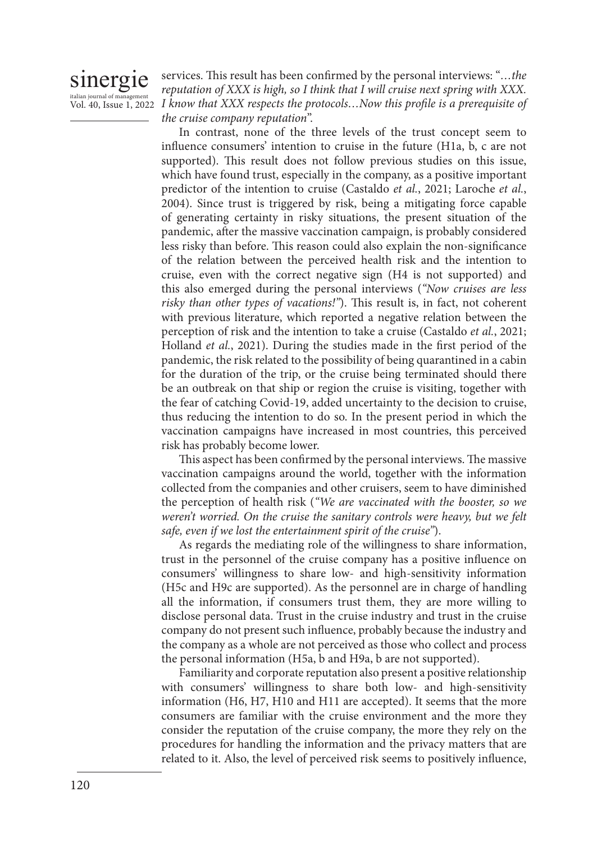# Sinergie

italian journal of management<br>Vol. 40, Issue 1, 2022 I know that XXX respects the protocols...Now this profile is a prerequisite of services. This result has been confirmed by the personal interviews: "*…the reputation of XXX is high, so I think that I will cruise next spring with XXX. the cruise company reputation*".

> In contrast, none of the three levels of the trust concept seem to influence consumers' intention to cruise in the future (H1a, b, c are not supported). This result does not follow previous studies on this issue, which have found trust, especially in the company, as a positive important predictor of the intention to cruise (Castaldo *et al.*, 2021; Laroche *et al.*, 2004). Since trust is triggered by risk, being a mitigating force capable of generating certainty in risky situations, the present situation of the pandemic, after the massive vaccination campaign, is probably considered less risky than before. This reason could also explain the non-significance of the relation between the perceived health risk and the intention to cruise, even with the correct negative sign (H4 is not supported) and this also emerged during the personal interviews (*"Now cruises are less risky than other types of vacations!"*). This result is, in fact, not coherent with previous literature, which reported a negative relation between the perception of risk and the intention to take a cruise (Castaldo *et al.*, 2021; Holland *et al.*, 2021). During the studies made in the first period of the pandemic, the risk related to the possibility of being quarantined in a cabin for the duration of the trip, or the cruise being terminated should there be an outbreak on that ship or region the cruise is visiting, together with the fear of catching Covid-19, added uncertainty to the decision to cruise, thus reducing the intention to do so. In the present period in which the vaccination campaigns have increased in most countries, this perceived risk has probably become lower.

> This aspect has been confirmed by the personal interviews. The massive vaccination campaigns around the world, together with the information collected from the companies and other cruisers, seem to have diminished the perception of health risk (*"We are vaccinated with the booster, so we weren't worried. On the cruise the sanitary controls were heavy, but we felt safe, even if we lost the entertainment spirit of the cruise"*).

> As regards the mediating role of the willingness to share information, trust in the personnel of the cruise company has a positive influence on consumers' willingness to share low- and high-sensitivity information (H5c and H9c are supported). As the personnel are in charge of handling all the information, if consumers trust them, they are more willing to disclose personal data. Trust in the cruise industry and trust in the cruise company do not present such influence, probably because the industry and the company as a whole are not perceived as those who collect and process the personal information (H5a, b and H9a, b are not supported).

> Familiarity and corporate reputation also present a positive relationship with consumers' willingness to share both low- and high-sensitivity information (H6, H7, H10 and H11 are accepted). It seems that the more consumers are familiar with the cruise environment and the more they consider the reputation of the cruise company, the more they rely on the procedures for handling the information and the privacy matters that are related to it. Also, the level of perceived risk seems to positively influence,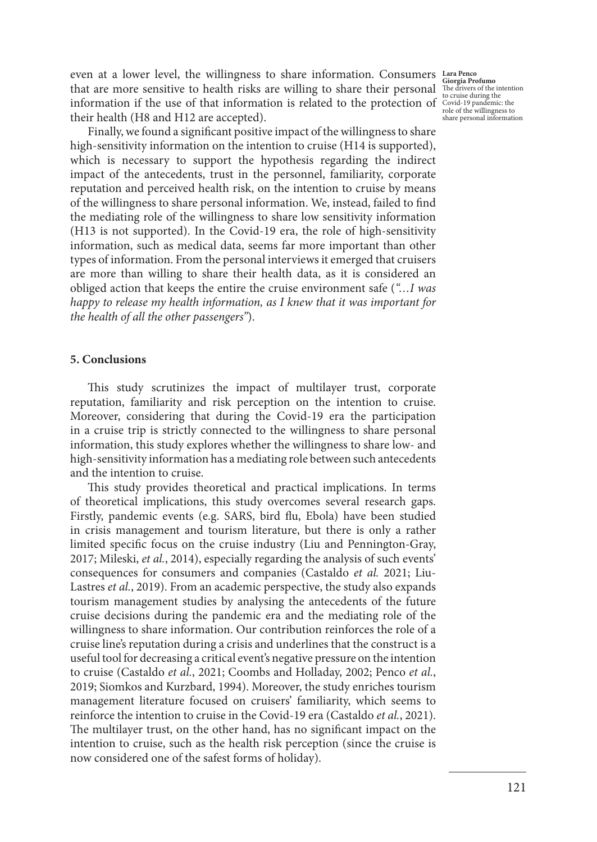even at a lower level, the willingness to share information. Consumers **Lara Penco**  that are more sensitive to health risks are willing to share their personal information if the use of that information is related to the protection of Covid-19 pandemic: the their health (H8 and H12 are accepted).

Finally, we found a significant positive impact of the willingness to share high-sensitivity information on the intention to cruise (H14 is supported), which is necessary to support the hypothesis regarding the indirect impact of the antecedents, trust in the personnel, familiarity, corporate reputation and perceived health risk, on the intention to cruise by means of the willingness to share personal information. We, instead, failed to find the mediating role of the willingness to share low sensitivity information (H13 is not supported). In the Covid-19 era, the role of high-sensitivity information, such as medical data, seems far more important than other types of information. From the personal interviews it emerged that cruisers are more than willing to share their health data, as it is considered an obliged action that keeps the entire the cruise environment safe (*"…I was happy to release my health information, as I knew that it was important for the health of all the other passengers"*).

# **5. Conclusions**

This study scrutinizes the impact of multilayer trust, corporate reputation, familiarity and risk perception on the intention to cruise. Moreover, considering that during the Covid-19 era the participation in a cruise trip is strictly connected to the willingness to share personal information, this study explores whether the willingness to share low- and high-sensitivity information has a mediating role between such antecedents and the intention to cruise.

This study provides theoretical and practical implications. In terms of theoretical implications, this study overcomes several research gaps. Firstly, pandemic events (e.g. SARS, bird flu, Ebola) have been studied in crisis management and tourism literature, but there is only a rather limited specific focus on the cruise industry (Liu and Pennington-Gray, 2017; Mileski, *et al.*, 2014), especially regarding the analysis of such events' consequences for consumers and companies (Castaldo *et al.* 2021; Liu-Lastres *et al.*, 2019). From an academic perspective, the study also expands tourism management studies by analysing the antecedents of the future cruise decisions during the pandemic era and the mediating role of the willingness to share information. Our contribution reinforces the role of a cruise line's reputation during a crisis and underlines that the construct is a useful tool for decreasing a critical event's negative pressure on the intention to cruise (Castaldo *et al.*, 2021; Coombs and Holladay, 2002; Penco *et al.*, 2019; Siomkos and Kurzbard, 1994). Moreover, the study enriches tourism management literature focused on cruisers' familiarity, which seems to reinforce the intention to cruise in the Covid-19 era (Castaldo *et al.*, 2021). The multilayer trust, on the other hand, has no significant impact on the intention to cruise, such as the health risk perception (since the cruise is now considered one of the safest forms of holiday).

**Giorgia Profumo**  The drivers of the intention to cruise during the role of the willingness to share personal information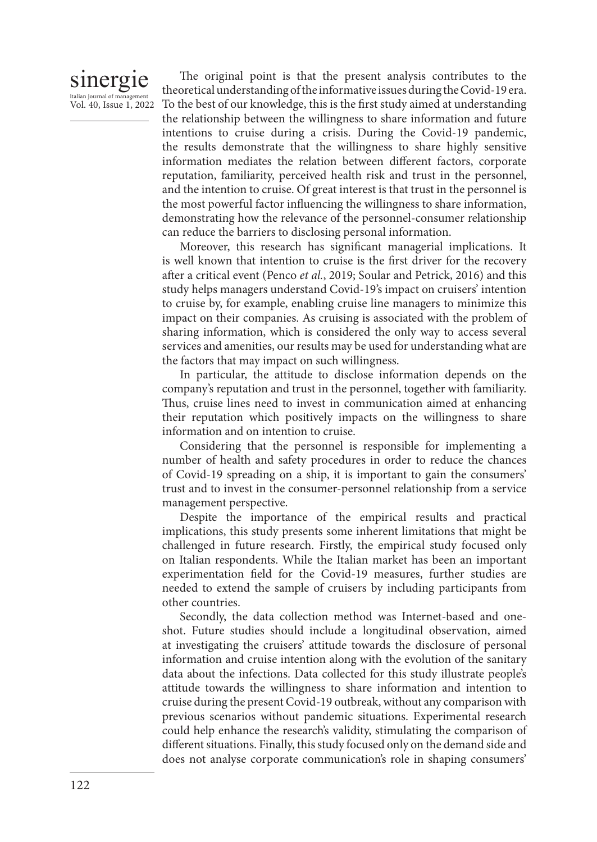# sinergie italian journal of managem Vol. 40, Issue 1, 2022

The original point is that the present analysis contributes to the theoretical understanding of the informative issues during the Covid-19 era. To the best of our knowledge, this is the first study aimed at understanding the relationship between the willingness to share information and future intentions to cruise during a crisis. During the Covid-19 pandemic, the results demonstrate that the willingness to share highly sensitive information mediates the relation between different factors, corporate reputation, familiarity, perceived health risk and trust in the personnel, and the intention to cruise. Of great interest is that trust in the personnel is the most powerful factor influencing the willingness to share information, demonstrating how the relevance of the personnel-consumer relationship can reduce the barriers to disclosing personal information.

Moreover, this research has significant managerial implications. It is well known that intention to cruise is the first driver for the recovery after a critical event (Penco *et al.*, 2019; Soular and Petrick, 2016) and this study helps managers understand Covid-19's impact on cruisers' intention to cruise by, for example, enabling cruise line managers to minimize this impact on their companies. As cruising is associated with the problem of sharing information, which is considered the only way to access several services and amenities, our results may be used for understanding what are the factors that may impact on such willingness.

In particular, the attitude to disclose information depends on the company's reputation and trust in the personnel, together with familiarity. Thus, cruise lines need to invest in communication aimed at enhancing their reputation which positively impacts on the willingness to share information and on intention to cruise.

Considering that the personnel is responsible for implementing a number of health and safety procedures in order to reduce the chances of Covid-19 spreading on a ship, it is important to gain the consumers' trust and to invest in the consumer-personnel relationship from a service management perspective.

Despite the importance of the empirical results and practical implications, this study presents some inherent limitations that might be challenged in future research. Firstly, the empirical study focused only on Italian respondents. While the Italian market has been an important experimentation field for the Covid-19 measures, further studies are needed to extend the sample of cruisers by including participants from other countries.

Secondly, the data collection method was Internet-based and oneshot. Future studies should include a longitudinal observation, aimed at investigating the cruisers' attitude towards the disclosure of personal information and cruise intention along with the evolution of the sanitary data about the infections. Data collected for this study illustrate people's attitude towards the willingness to share information and intention to cruise during the present Covid-19 outbreak, without any comparison with previous scenarios without pandemic situations. Experimental research could help enhance the research's validity, stimulating the comparison of different situations. Finally, this study focused only on the demand side and does not analyse corporate communication's role in shaping consumers'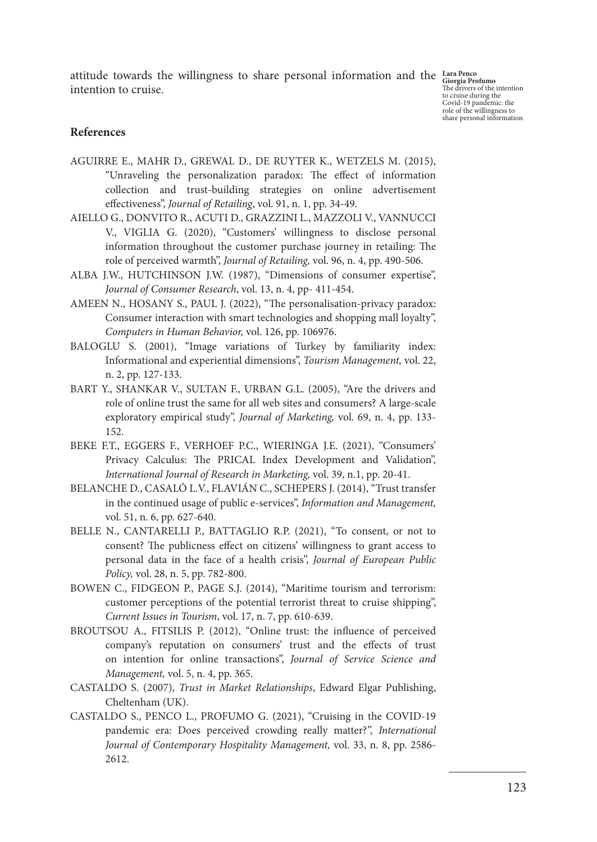attitude towards the willingness to share personal information and the **Lara Penco Giorgia Profumo**  intention to cruise.

The drivers of the intention to cruise during the Covid-19 pandemic: the role of the willingness to share personal information

# **References**

- AGUIRRE E., MAHR D., GREWAL D., DE RUYTER K., WETZELS M. (2015), "Unraveling the personalization paradox: The effect of information collection and trust-building strategies on online advertisement effectiveness", *Journal of Retailing*, vol. 91, n. 1, pp. 34-49.
- AIELLO G., DONVITO R., ACUTI D., GRAZZINI L., MAZZOLI V., VANNUCCI V., VIGLIA G. (2020), "Customers' willingness to disclose personal information throughout the customer purchase journey in retailing: The role of perceived warmth", *Journal of Retailing,* vol. 96, n. 4, pp. 490-506.
- ALBA J.W., HUTCHINSON J.W. (1987), "Dimensions of consumer expertise", *Journal of Consumer Research*, vol. 13, n. 4, pp- 411-454.
- AMEEN N., HOSANY S., PAUL J. (2022), "The personalisation-privacy paradox: Consumer interaction with smart technologies and shopping mall loyalty", *Computers in Human Behavior,* vol. 126, pp. 106976.
- BALOGLU S. (2001), "Image variations of Turkey by familiarity index: Informational and experiential dimensions", *Tourism Management,* vol. 22, n. 2, pp. 127-133.
- BART Y., SHANKAR V., SULTAN F., URBAN G.L. (2005), "Are the drivers and role of online trust the same for all web sites and consumers? A large-scale exploratory empirical study", *Journal of Marketing,* vol. 69, n. 4, pp. 133- 152.
- BEKE F.T., EGGERS F., VERHOEF P.C., WIERINGA J.E. (2021), "Consumers' Privacy Calculus: The PRICAL Index Development and Validation", *International Journal of Research in Marketing,* vol. 39, n.1, pp. 20-41.
- BELANCHE D., CASALÓ L.V., FLAVIÁN C., SCHEPERS J. (2014), "Trust transfer in the continued usage of public e-services", *Information and Management,*  vol. 51, n. 6, pp. 627-640.
- BELLE N., CANTARELLI P., BATTAGLIO R.P. (2021), "To consent, or not to consent? The publicness effect on citizens' willingness to grant access to personal data in the face of a health crisis", *Journal of European Public Policy,* vol. 28, n. 5, pp. 782-800.
- BOWEN C., FIDGEON P., PAGE S.J. (2014), "Maritime tourism and terrorism: customer perceptions of the potential terrorist threat to cruise shipping", *Current Issues in Tourism*, vol. 17, n. 7, pp. 610-639.
- BROUTSOU A., FITSILIS P. (2012), "Online trust: the influence of perceived company's reputation on consumers' trust and the effects of trust on intention for online transactions", *Journal of Service Science and Management,* vol. 5, n. 4, pp. 365.
- CASTALDO S. (2007), *Trust in Market Relationships*, Edward Elgar Publishing, Cheltenham (UK).
- CASTALDO S., PENCO L., PROFUMO G. (2021), "Cruising in the COVID-19 pandemic era: Does perceived crowding really matter?", *International Journal of Contemporary Hospitality Management,* vol. 33, n. 8, pp. 2586- 2612.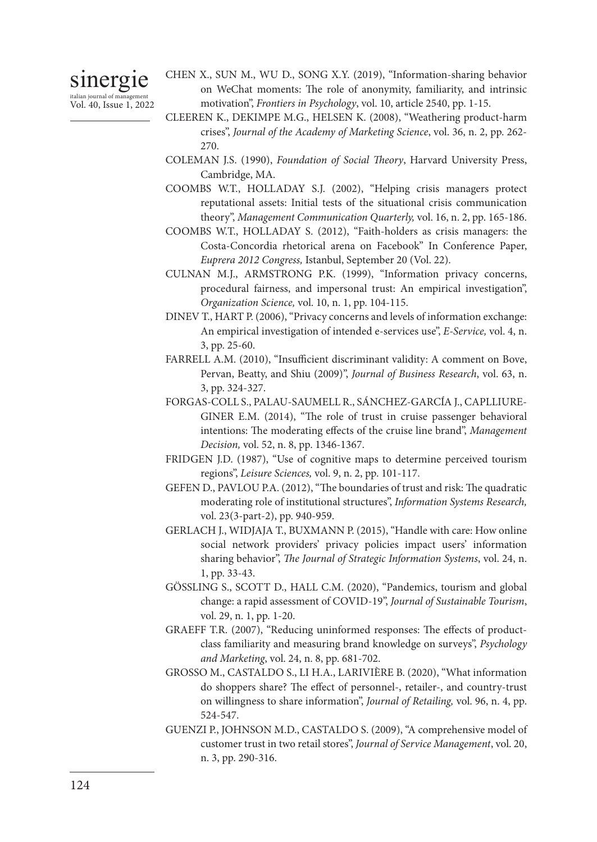# sinergie italian journal of manage

Vol. 40, Issue 1, 2022

- CHEN X., SUN M., WU D., SONG X.Y. (2019), "Information-sharing behavior on WeChat moments: The role of anonymity, familiarity, and intrinsic motivation", *Frontiers in Psychology*, vol. 10, article 2540, pp. 1-15.
- CLEEREN K., DEKIMPE M.G., HELSEN K. (2008), "Weathering product-harm crises", *Journal of the Academy of Marketing Science*, vol. 36, n. 2, pp. 262- 270.
- COLEMAN J.S. (1990), *Foundation of Social Theory*, Harvard University Press, Cambridge, MA.
- COOMBS W.T., HOLLADAY S.J. (2002), "Helping crisis managers protect reputational assets: Initial tests of the situational crisis communication theory", *Management Communication Quarterly,* vol. 16, n. 2, pp. 165-186.
- COOMBS W.T., HOLLADAY S. (2012), "Faith-holders as crisis managers: the Costa-Concordia rhetorical arena on Facebook" In Conference Paper, *Euprera 2012 Congress,* Istanbul, September 20 (Vol. 22).
- CULNAN M.J., ARMSTRONG P.K. (1999), "Information privacy concerns, procedural fairness, and impersonal trust: An empirical investigation", *Organization Science,* vol. 10, n. 1, pp. 104-115.
- DINEV T., HART P. (2006), "Privacy concerns and levels of information exchange: An empirical investigation of intended e-services use", *E-Service,* vol. 4, n. 3, pp. 25-60.
- FARRELL A.M. (2010), "Insufficient discriminant validity: A comment on Bove, Pervan, Beatty, and Shiu (2009)", *Journal of Business Research*, vol. 63, n. 3, pp. 324-327.
- FORGAS-COLL S., PALAU-SAUMELL R., SÁNCHEZ-GARCÍA J., CAPLLIURE-GINER E.M. (2014), "The role of trust in cruise passenger behavioral intentions: The moderating effects of the cruise line brand", *Management Decision,* vol. 52, n. 8, pp. 1346-1367.
- FRIDGEN J.D. (1987), "Use of cognitive maps to determine perceived tourism regions", *Leisure Sciences,* vol. 9, n. 2, pp. 101-117.
- GEFEN D., PAVLOU P.A. (2012), "The boundaries of trust and risk: The quadratic moderating role of institutional structures", *Information Systems Research,* vol. 23(3-part-2), pp. 940-959.
- GERLACH J., WIDJAJA T., BUXMANN P. (2015), "Handle with care: How online social network providers' privacy policies impact users' information sharing behavior", *The Journal of Strategic Information Systems*, vol. 24, n. 1, pp. 33-43.
- GÖSSLING S., SCOTT D., HALL C.M. (2020), "Pandemics, tourism and global change: a rapid assessment of COVID-19", *Journal of Sustainable Tourism*, vol. 29, n. 1, pp. 1-20.
- GRAEFF T.R. (2007), "Reducing uninformed responses: The effects of product‐ class familiarity and measuring brand knowledge on surveys", *Psychology and Marketing*, vol. 24, n. 8, pp. 681-702.
- GROSSO M., CASTALDO S., LI H.A., LARIVIÈRE B. (2020), "What information do shoppers share? The effect of personnel-, retailer-, and country-trust on willingness to share information", *Journal of Retailing,* vol. 96, n. 4, pp. 524-547.
- GUENZI P., JOHNSON M.D., CASTALDO S. (2009), "A comprehensive model of customer trust in two retail stores", *Journal of Service Management*, vol. 20, n. 3, pp. 290-316.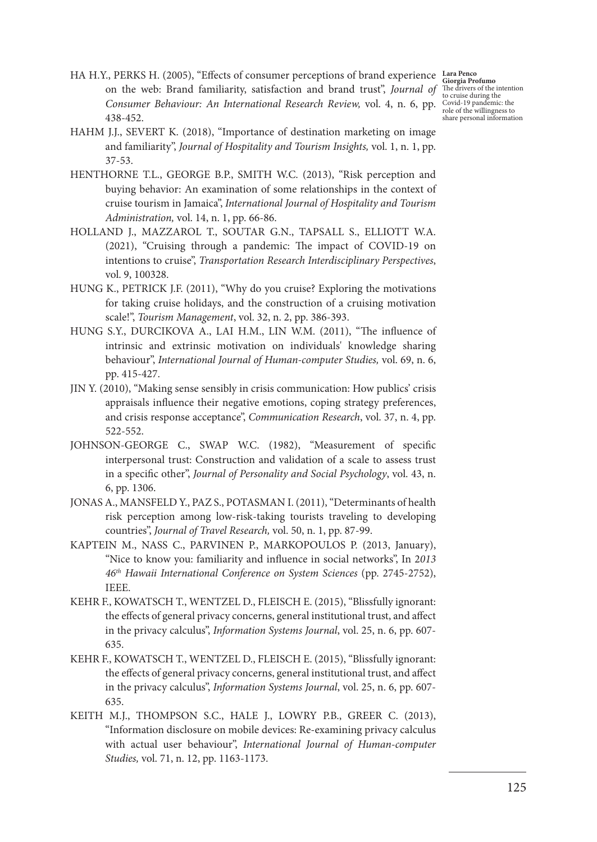**Giorgia Profumo**  The drivers of the intention to cruise during the Covid-19 pandemic: the role of the willingness to share personal information

- HA H.Y., PERKS H. (2005), "Effects of consumer perceptions of brand experience **Lara Penco**  on the web: Brand familiarity, satisfaction and brand trust", *Journal of Consumer Behaviour: An International Research Review,* vol. 4, n. 6, pp. 438-452.
- HAHM J.J., SEVERT K. (2018), "Importance of destination marketing on image and familiarity", *Journal of Hospitality and Tourism Insights,* vol. 1, n. 1, pp. 37-53.
- HENTHORNE T.L., GEORGE B.P., SMITH W.C. (2013), "Risk perception and buying behavior: An examination of some relationships in the context of cruise tourism in Jamaica", *International Journal of Hospitality and Tourism Administration,* vol. 14, n. 1, pp. 66-86.
- HOLLAND J., MAZZAROL T., SOUTAR G.N., TAPSALL S., ELLIOTT W.A. (2021), "Cruising through a pandemic: The impact of COVID-19 on intentions to cruise", *Transportation Research Interdisciplinary Perspectives*, vol. 9, 100328.
- HUNG K., PETRICK J.F. (2011), "Why do you cruise? Exploring the motivations for taking cruise holidays, and the construction of a cruising motivation scale!", *Tourism Management*, vol. 32, n. 2, pp. 386-393.
- HUNG S.Y., DURCIKOVA A., LAI H.M., LIN W.M. (2011), "The influence of intrinsic and extrinsic motivation on individuals' knowledge sharing behaviour", *International Journal of Human-computer Studies,* vol. 69, n. 6, pp. 415-427.
- JIN Y. (2010), "Making sense sensibly in crisis communication: How publics' crisis appraisals influence their negative emotions, coping strategy preferences, and crisis response acceptance", *Communication Research*, vol. 37, n. 4, pp. 522-552.
- JOHNSON-GEORGE C., SWAP W.C. (1982), "Measurement of specific interpersonal trust: Construction and validation of a scale to assess trust in a specific other", *Journal of Personality and Social Psychology*, vol. 43, n. 6, pp. 1306.
- JONAS A., MANSFELD Y., PAZ S., POTASMAN I. (2011), "Determinants of health risk perception among low-risk-taking tourists traveling to developing countries", *Journal of Travel Research,* vol. 50, n. 1, pp. 87-99.
- KAPTEIN M., NASS C., PARVINEN P., MARKOPOULOS P. (2013, January), "Nice to know you: familiarity and influence in social networks", In 2*013 46th Hawaii International Conference on System Sciences* (pp. 2745-2752), IEEE.
- KEHR F., KOWATSCH T., WENTZEL D., FLEISCH E. (2015), "Blissfully ignorant: the effects of general privacy concerns, general institutional trust, and affect in the privacy calculus", *Information Systems Journal*, vol. 25, n. 6, pp. 607- 635.
- KEHR F., KOWATSCH T., WENTZEL D., FLEISCH E. (2015), "Blissfully ignorant: the effects of general privacy concerns, general institutional trust, and affect in the privacy calculus", *Information Systems Journal*, vol. 25, n. 6, pp. 607- 635.
- KEITH M.J., THOMPSON S.C., HALE J., LOWRY P.B., GREER C. (2013), "Information disclosure on mobile devices: Re-examining privacy calculus with actual user behaviour", *International Journal of Human-computer Studies,* vol. 71, n. 12, pp. 1163-1173.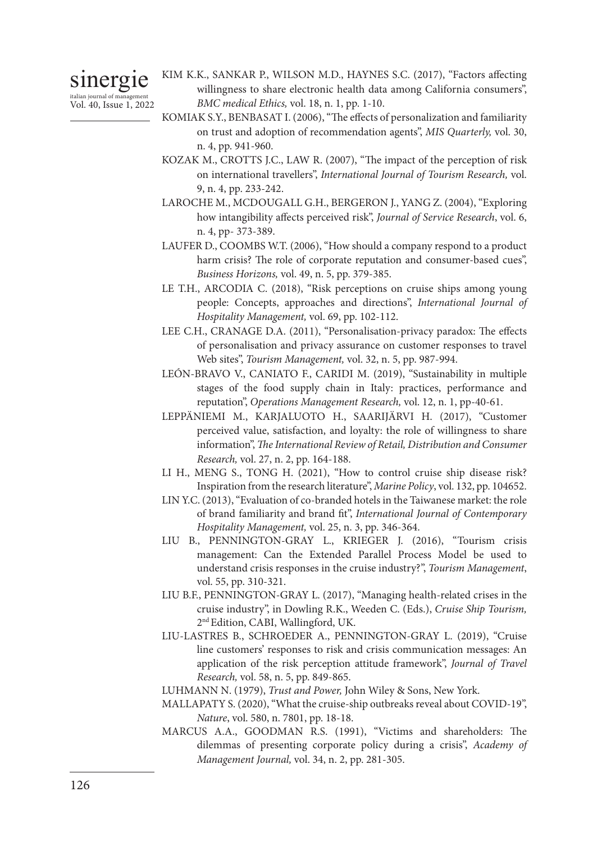# sinergie

italian journal of management Vol. 40, Issue 1, 2022

- KIM K.K., SANKAR P., WILSON M.D., HAYNES S.C. (2017), "Factors affecting willingness to share electronic health data among California consumers", *BMC medical Ethics,* vol. 18, n. 1, pp. 1-10.
- KOMIAK S.Y., BENBASAT I. (2006), "The effects of personalization and familiarity on trust and adoption of recommendation agents", *MIS Quarterly,* vol. 30, n. 4, pp. 941-960.
- KOZAK M., CROTTS J.C., LAW R. (2007), "The impact of the perception of risk on international travellers", *International Journal of Tourism Research,* vol. 9, n. 4, pp. 233-242.
- LAROCHE M., MCDOUGALL G.H., BERGERON J., YANG Z. (2004), "Exploring how intangibility affects perceived risk", *Journal of Service Research*, vol. 6, n. 4, pp- 373-389.
- LAUFER D., COOMBS W.T. (2006), "How should a company respond to a product harm crisis? The role of corporate reputation and consumer-based cues", *Business Horizons,* vol. 49, n. 5, pp. 379-385.
- LE T.H., ARCODIA C. (2018), "Risk perceptions on cruise ships among young people: Concepts, approaches and directions", *International Journal of Hospitality Management,* vol. 69, pp. 102-112.
- LEE C.H., CRANAGE D.A. (2011), "Personalisation-privacy paradox: The effects of personalisation and privacy assurance on customer responses to travel Web sites", *Tourism Management,* vol. 32, n. 5, pp. 987-994.
- LEÓN-BRAVO V., CANIATO F., CARIDI M. (2019), "Sustainability in multiple stages of the food supply chain in Italy: practices, performance and reputation", *Operations Management Research,* vol. 12, n. 1, pp-40-61.
- LEPPÄNIEMI M., KARJALUOTO H., SAARIJÄRVI H. (2017), "Customer perceived value, satisfaction, and loyalty: the role of willingness to share information", *The International Review of Retail, Distribution and Consumer Research,* vol. 27, n. 2, pp. 164-188.
- LI H., MENG S., TONG H. (2021), "How to control cruise ship disease risk? Inspiration from the research literature", *Marine Policy*, vol. 132, pp. 104652.
- LIN Y.C. (2013), "Evaluation of co‐branded hotels in the Taiwanese market: the role of brand familiarity and brand fit", *International Journal of Contemporary Hospitality Management,* vol. 25, n. 3, pp. 346-364.
- LIU B., PENNINGTON-GRAY L., KRIEGER J. (2016), "Tourism crisis management: Can the Extended Parallel Process Model be used to understand crisis responses in the cruise industry?", *Tourism Management*, vol. 55, pp. 310-321.
- LIU B.F., PENNINGTON-GRAY L. (2017), "Managing health-related crises in the cruise industry", in Dowling R.K., Weeden C. (Eds.), *Cruise Ship Tourism,*  2nd Edition, CABI, Wallingford, UK.
- LIU-LASTRES B., SCHROEDER A., PENNINGTON-GRAY L. (2019), "Cruise line customers' responses to risk and crisis communication messages: An application of the risk perception attitude framework", *Journal of Travel Research,* vol. 58, n. 5, pp. 849-865.
- LUHMANN N. (1979), *Trust and Power,* John Wiley & Sons, New York.
- MALLAPATY S. (2020), "What the cruise-ship outbreaks reveal about COVID-19", *Nature*, vol. 580, n. 7801, pp. 18-18.
- MARCUS A.A., GOODMAN R.S. (1991), "Victims and shareholders: The dilemmas of presenting corporate policy during a crisis", *Academy of Management Journal,* vol. 34, n. 2, pp. 281-305.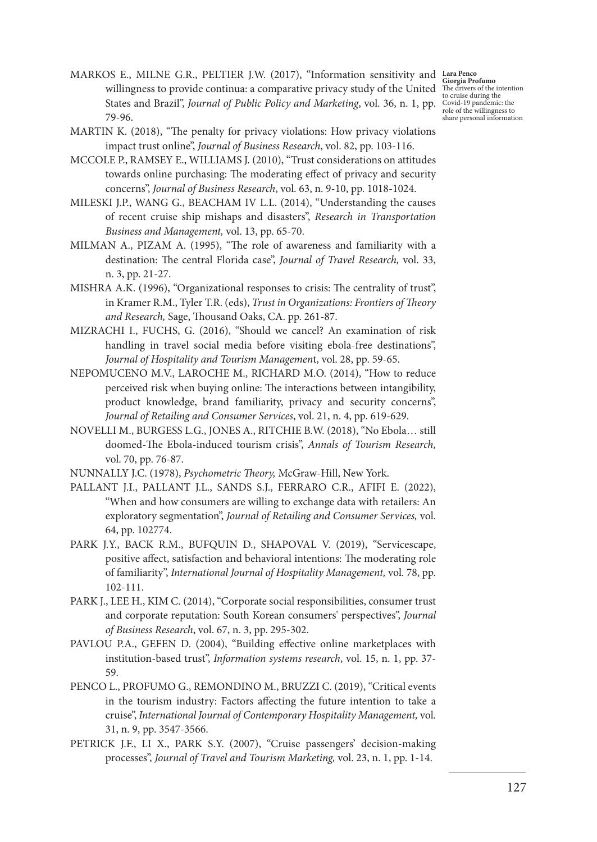MARKOS E., MILNE G.R., PELTIER J.W. (2017), "Information sensitivity and Liargle Pro willingness to provide continua: a comparative privacy study of the United States and Brazil", *Journal of Public Policy and Marketing*, vol. 36, n. 1, pp. 79-96.

**Giorgia Profumo**  The drivers of the intention to cruise during the Covid-19 pandemic: the role of the willingness to share personal information

- MARTIN K. (2018), "The penalty for privacy violations: How privacy violations impact trust online", *Journal of Business Research*, vol. 82, pp. 103-116.
- MCCOLE P., RAMSEY E., WILLIAMS J. (2010), "Trust considerations on attitudes towards online purchasing: The moderating effect of privacy and security concerns", *Journal of Business Research*, vol. 63, n. 9-10, pp. 1018-1024.
- MILESKI J.P., WANG G., BEACHAM IV L.L. (2014), "Understanding the causes of recent cruise ship mishaps and disasters", *Research in Transportation Business and Management,* vol. 13, pp. 65-70.
- MILMAN A., PIZAM A. (1995), "The role of awareness and familiarity with a destination: The central Florida case", *Journal of Travel Research,* vol. 33, n. 3, pp. 21-27.
- MISHRA A.K. (1996), "Organizational responses to crisis: The centrality of trust", in Kramer R.M., Tyler T.R. (eds), *Trust in Organizations: Frontiers of Theory and Research,* Sage, Thousand Oaks, CA. pp. 261-87.
- MIZRACHI I., FUCHS, G. (2016), "Should we cancel? An examination of risk handling in travel social media before visiting ebola-free destinations", *Journal of Hospitality and Tourism Managemen*t, vol. 28, pp. 59-65.
- NEPOMUCENO M.V., LAROCHE M., RICHARD M.O. (2014), "How to reduce perceived risk when buying online: The interactions between intangibility, product knowledge, brand familiarity, privacy and security concerns", *Journal of Retailing and Consumer Services*, vol. 21, n. 4, pp. 619-629.
- NOVELLI M., BURGESS L.G., JONES A., RITCHIE B.W. (2018), "No Ebola… still doomed-The Ebola-induced tourism crisis", *Annals of Tourism Research,*  vol. 70, pp. 76-87.
- NUNNALLY J.C. (1978), *Psychometric Theory,* McGraw-Hill, New York.
- PALLANT J.I., PALLANT J.L., SANDS S.J., FERRARO C.R., AFIFI E. (2022), "When and how consumers are willing to exchange data with retailers: An exploratory segmentation", *Journal of Retailing and Consumer Services,* vol. 64, pp. 102774.
- PARK J.Y., BACK R.M., BUFQUIN D., SHAPOVAL V. (2019), "Servicescape, positive affect, satisfaction and behavioral intentions: The moderating role of familiarity", *International Journal of Hospitality Management,* vol. 78, pp. 102-111.
- PARK J., LEE H., KIM C. (2014), "Corporate social responsibilities, consumer trust and corporate reputation: South Korean consumers' perspectives", *Journal of Business Research*, vol. 67, n. 3, pp. 295-302.
- PAVLOU P.A., GEFEN D. (2004), "Building effective online marketplaces with institution-based trust", *Information systems research*, vol. 15, n. 1, pp. 37- 59.
- PENCO L., PROFUMO G., REMONDINO M., BRUZZI C. (2019), "Critical events in the tourism industry: Factors affecting the future intention to take a cruise", *International Journal of Contemporary Hospitality Management,* vol. 31, n. 9, pp. 3547-3566.
- PETRICK J.F., LI X., PARK S.Y. (2007), "Cruise passengers' decision-making processes", *Journal of Travel and Tourism Marketing,* vol. 23, n. 1, pp. 1-14.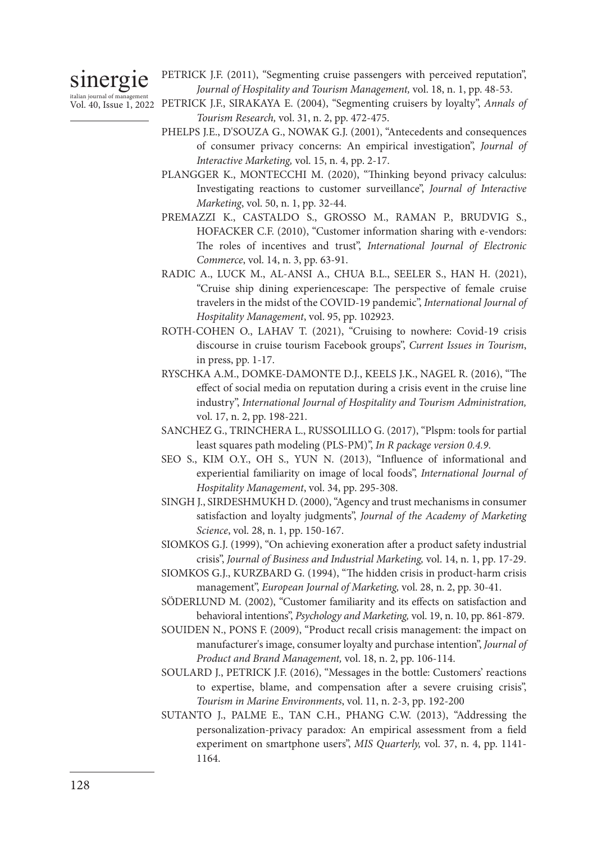sinergie

PETRICK J.F. (2011), "Segmenting cruise passengers with perceived reputation", *Journal of Hospitality and Tourism Management,* vol. 18, n. 1, pp. 48-53.

- italian journal of management<br>Vol. 40, Issue 1, 2022 PETRICK J.F., SIRAKAYA E. (2004), "Segmenting cruisers by loyalty", *Annals of Tourism Research,* vol. 31, n. 2, pp. 472-475.
	- PHELPS J.E., D'SOUZA G., NOWAK G.J. (2001), "Antecedents and consequences of consumer privacy concerns: An empirical investigation", *Journal of Interactive Marketing,* vol. 15, n. 4, pp. 2-17.
	- PLANGGER K., MONTECCHI M. (2020), "Thinking beyond privacy calculus: Investigating reactions to customer surveillance", *Journal of Interactive Marketing*, vol. 50, n. 1, pp. 32-44.
	- PREMAZZI K., CASTALDO S., GROSSO M., RAMAN P., BRUDVIG S., HOFACKER C.F. (2010), "Customer information sharing with e-vendors: The roles of incentives and trust", *International Journal of Electronic Commerce*, vol. 14, n. 3, pp. 63-91.
	- RADIC A., LUCK M., AL-ANSI A., CHUA B.L., SEELER S., HAN H. (2021), "Cruise ship dining experiencescape: The perspective of female cruise travelers in the midst of the COVID-19 pandemic", *International Journal of Hospitality Management*, vol. 95, pp. 102923.
	- ROTH-COHEN O., LAHAV T. (2021), "Cruising to nowhere: Covid-19 crisis discourse in cruise tourism Facebook groups", *Current Issues in Tourism*, in press, pp. 1-17.
	- RYSCHKA A.M., DOMKE-DAMONTE D.J., KEELS J.K., NAGEL R. (2016), "The effect of social media on reputation during a crisis event in the cruise line industry", *International Journal of Hospitality and Tourism Administration,*  vol. 17, n. 2, pp. 198-221.
	- SANCHEZ G., TRINCHERA L., RUSSOLILLO G. (2017), "Plspm: tools for partial least squares path modeling (PLS-PM)", *In R package version 0.4.9*.
	- SEO S., KIM O.Y., OH S., YUN N. (2013), "Influence of informational and experiential familiarity on image of local foods", *International Journal of Hospitality Management*, vol. 34, pp. 295-308.
	- SINGH J., SIRDESHMUKH D. (2000), "Agency and trust mechanisms in consumer satisfaction and loyalty judgments", *Journal of the Academy of Marketing Science*, vol. 28, n. 1, pp. 150-167.
	- SIOMKOS G.J. (1999), "On achieving exoneration after a product safety industrial crisis", *Journal of Business and Industrial Marketing,* vol. 14, n. 1, pp. 17-29.
	- SIOMKOS G.J., KURZBARD G. (1994), "The hidden crisis in product‐harm crisis management", *European Journal of Marketing,* vol. 28, n. 2, pp. 30-41.
	- SÖDERLUND M. (2002), "Customer familiarity and its effects on satisfaction and behavioral intentions", *Psychology and Marketing,* vol. 19, n. 10, pp. 861-879.
	- SOUIDEN N., PONS F. (2009), "Product recall crisis management: the impact on manufacturer's image, consumer loyalty and purchase intention", *Journal of Product and Brand Management,* vol. 18, n. 2, pp. 106-114.
	- SOULARD J., PETRICK J.F. (2016), "Messages in the bottle: Customers' reactions to expertise, blame, and compensation after a severe cruising crisis", *Tourism in Marine Environments*, vol. 11, n. 2-3, pp. 192-200
	- SUTANTO J., PALME E., TAN C.H., PHANG C.W. (2013), "Addressing the personalization-privacy paradox: An empirical assessment from a field experiment on smartphone users", *MIS Quarterly,* vol. 37, n. 4, pp. 1141- 1164.